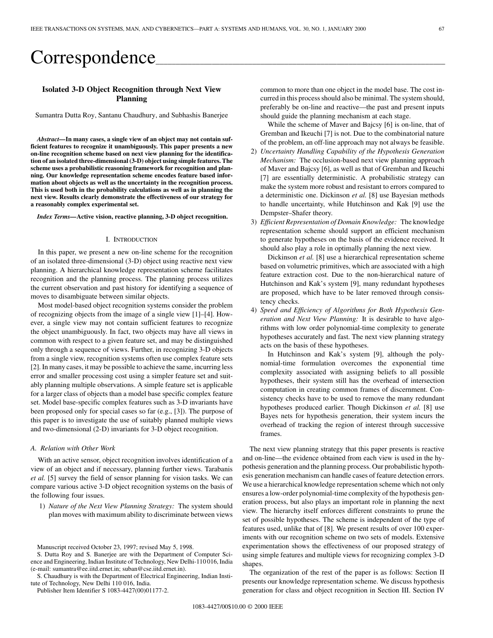# Correspondence\_

# **Isolated 3-D Object Recognition through Next View Planning**

Sumantra Dutta Roy, Santanu Chaudhury, and Subhashis Banerjee

*Abstract—***In many cases, a single view of an object may not contain sufficient features to recognize it unambiguously. This paper presents a new on-line recognition scheme based on next view planning for the identification of an isolated three-dimensional (3-D) object using simple features. The scheme uses a probabilistic reasoning framework for recognition and planning. Our knowledge representation scheme encodes feature based information about objects as well as the uncertainty in the recognition process. This is used both in the probability calculations as well as in planning the next view. Results clearly demonstrate the effectiveness of our strategy for a reasonably complex experimental set.**

*Index Terms—***Active vision, reactive planning, 3-D object recognition.**

## I. INTRODUCTION

In this paper, we present a new on-line scheme for the recognition of an isolated three-dimensional (3-D) object using reactive next view planning. A hierarchical knowledge representation scheme facilitates recognition and the planning process. The planning process utilizes the current observation and past history for identifying a sequence of moves to disambiguate between similar objects.

Most model-based object recognition systems consider the problem of recognizing objects from the image of a single view [1]–[4]. However, a single view may not contain sufficient features to recognize the object unambiguously. In fact, two objects may have all views in common with respect to a given feature set, and may be distinguished only through a sequence of views. Further, in recognizing 3-D objects from a single view, recognition systems often use complex feature sets [2]. In many cases, it may be possible to achieve the same, incurring less error and smaller processing cost using a simpler feature set and suitably planning multiple observations. A simple feature set is applicable for a larger class of objects than a model base specific complex feature set. Model base-specific complex features such as 3-D invariants have been proposed only for special cases so far (e.g., [3]). The purpose of this paper is to investigate the use of suitably planned multiple views and two-dimensional (2-D) invariants for 3-D object recognition.

## *A. Relation with Other Work*

With an active sensor, object recognition involves identification of a view of an object and if necessary, planning further views. Tarabanis *et al.* [5] survey the field of sensor planning for vision tasks. We can compare various active 3-D object recognition systems on the basis of the following four issues.

1) *Nature of the Next View Planning Strategy:* The system should plan moves with maximum ability to discriminate between views

S. Chaudhury is with the Department of Electrical Engineering, Indian Institute of Technology, New Delhi 110 016, India.

Publisher Item Identifier S 1083-4427(00)01177-2.

common to more than one object in the model base. The cost incurred in this process should also be minimal. The system should, preferably be on-line and reactive—the past and present inputs should guide the planning mechanism at each stage.

While the scheme of Maver and Bajcsy [6] is on-line, that of Gremban and Ikeuchi [7] is not. Due to the combinatorial nature of the problem, an off-line approach may not always be feasible.

- 2) *Uncertainty Handling Capability of the Hypothesis Generation Mechanism:* The occlusion-based next view planning approach of Maver and Bajcsy [6], as well as that of Gremban and Ikeuchi [7] are essentially deterministic. A probabilistic strategy can make the system more robust and resistant to errors compared to a deterministic one. Dickinson *et al.* [8] use Bayesian methods to handle uncertainty, while Hutchinson and Kak [9] use the Dempster–Shafer theory.
- 3) *Efficient Representation of Domain Knowledge:* The knowledge representation scheme should support an efficient mechanism to generate hypotheses on the basis of the evidence received. It should also play a role in optimally planning the next view.

Dickinson *et al.* [8] use a hierarchical representation scheme based on volumetric primitives, which are associated with a high feature extraction cost. Due to the non-hierarchical nature of Hutchinson and Kak's system [9], many redundant hypotheses are proposed, which have to be later removed through consistency checks.

4) *Speed and Efficiency of Algorithms for Both Hypothesis Generation and Next View Planning:* It is desirable to have algorithms with low order polynomial-time complexity to generate hypotheses accurately and fast. The next view planning strategy acts on the basis of these hypotheses.

In Hutchinson and Kak's system [9], although the polynomial-time formulation overcomes the exponential time complexity associated with assigning beliefs to all possible hypotheses, their system still has the overhead of intersection computation in creating common frames of discernment. Consistency checks have to be used to remove the many redundant hypotheses produced earlier. Though Dickinson *et al.* [8] use Bayes nets for hypothesis generation, their system incurs the overhead of tracking the region of interest through successive frames.

The next view planning strategy that this paper presents is reactive and on-line—the evidence obtained from each view is used in the hypothesis generation and the planning process. Our probabilistic hypothesis generation mechanism can handle cases of feature detection errors. We use a hierarchical knowledge representation scheme which not only ensures a low-order polynomial-time complexity of the hypothesis generation process, but also plays an important role in planning the next view. The hierarchy itself enforces different constraints to prune the set of possible hypotheses. The scheme is independent of the type of features used, unlike that of [8]. We present results of over 100 experiments with our recognition scheme on two sets of models. Extensive experimentation shows the effectiveness of our proposed strategy of using simple features and multiple views for recognizing complex 3-D shapes.

The organization of the rest of the paper is as follows: Section II presents our knowledge representation scheme. We discuss hypothesis generation for class and object recognition in Section III. Section IV

Manuscript received October 23, 1997; revised May 5, 1998.

S. Dutta Roy and S. Banerjee are with the Department of Computer Science and Engineering, Indian Institute of Technology, New Delhi-110 016, India (e-mail: sumantra@ee.iitd.ernet.in; suban@cse.iitd.ernet.in).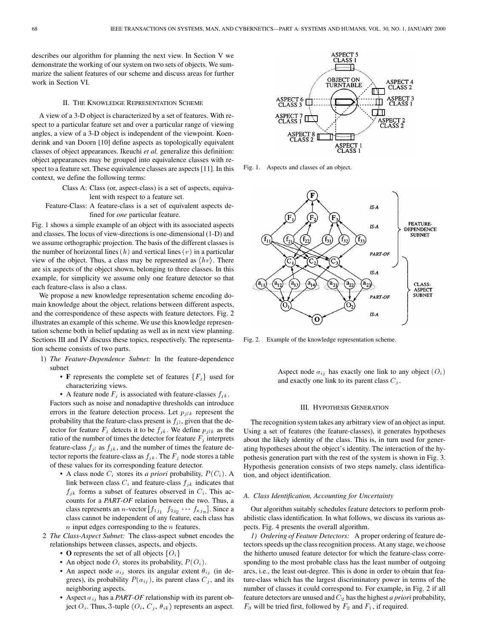describes our algorithm for planning the next view. In Section V we demonstrate the working of our system on two sets of objects. We summarize the salient features of our scheme and discuss areas for further work in Section VI.

# II. THE KNOWLEDGE REPRESENTATION SCHEME

A view of a 3-D object is characterized by a set of features. With respect to a particular feature set and over a particular range of viewing angles, a view of a 3-D object is independent of the viewpoint. Koenderink and van Doorn [10] define aspects as topologically equivalent classes of object appearances. Ikeuchi *et al.* generalize this definition: object appearances may be grouped into equivalence classes with respect to a feature set. These equivalence classes are aspects [11]. In this context, we define the following terms:

> Class A: Class (or, aspect-class) is a set of aspects, equivalent with respect to a feature set.

Feature-Class: A feature-class is a set of equivalent aspects defined for *one* particular feature.

Fig. 1 shows a simple example of an object with its associated aspects and classes. The locus of view-directions is one-dimensional (1-D) and we assume orthographic projection. The basis of the different classes is the number of horizontal lines  $(h)$  and vertical lines  $(v)$  in a particular view of the object. Thus, a class may be represented as  $\langle hv \rangle$ . There are six aspects of the object shown, belonging to three classes. In this example, for simplicity we assume only one feature detector so that each feature-class is also a class.

We propose a new knowledge representation scheme encoding domain knowledge about the object, relations between different aspects, and the correspondence of these aspects with feature detectors. Fig. 2 illustrates an example of this scheme. We use this knowledge representation scheme both in belief updating as well as in next view planning. Sections III and IV discuss these topics, respectively. The representation scheme consists of two parts.

- 1) *The Feature-Dependence Subnet:* In the feature-dependence subnet
	- **F** represents the complete set of features  ${F<sub>j</sub>}$  used for characterizing views.

• A feature node  $F_j$  is associated with feature-classes  $f_{jk}$ . Factors such as noise and nonadaptive thresholds can introduce errors in the feature detection process. Let  $p_{jlk}$  represent the probability that the feature-class present is  $f_{jl}$ , given that the detector for feature  $F_j$  detects it to be  $f_{jk}$ . We define  $p_{jlk}$  as the ratio of the number of times the detector for feature  $F_j$  interprets feature-class  $f_{jl}$  as  $f_{jk}$ , and the number of times the feature detector reports the feature-class as  $f_{jk}$ . The  $F_j$  node stores a table of these values for its corresponding feature detector.

- A class node  $C_i$  stores its *a priori* probability,  $P(C_i)$ . A link between class  $C_i$  and feature-class  $f_{ik}$  indicates that  $f_{jk}$  forms a subset of features observed in  $C_i$ . This accounts for a *PART-OF* relation between the two. Thus, a class represents an *n*-vector  $[f_{1j_1} \ f_{2j_2} \ \cdots \ f_{nj_n}]$ . Since a class cannot be independent of any feature, each class has  $n$  input edges corresponding to the  $n$  features.
- 2 *The Class-Aspect Subnet:* The class-aspect subnet encodes the relationships between classes, aspects, and objects.
	- **O** represents the set of all objects  $\{O_i\}$
	- An object node  $O_i$  stores its probability,  $P(O_i)$ .
	- An aspect node  $a_{ij}$  stores its angular extent  $\theta_{ij}$  (in degrees), its probability  $P(a_{ij})$ , its parent class  $C_j$ , and its neighboring aspects.
	- Aspect aij has a *PART-OF* relationship with its parent object  $O_i$ . Thus, 3-tuple  $\langle O_i, C_j, \theta_{ik} \rangle$  represents an aspect.



Fig. 1. Aspects and classes of an object.



Fig. 2. Example of the knowledge representation scheme.

Aspect node  $a_{ij}$  has exactly one link to any object  $(O_i)$ and exactly one link to its parent class  $C_j$ .

## III. HYPOTHESIS GENERATION

The recognition system takes any arbitrary view of an object as input. Using a set of features (the feature-classes), it generates hypotheses about the likely identity of the class. This is, in turn used for generating hypotheses about the object's identity. The interaction of the hypothesis generation part with the rest of the system is shown in Fig. 3. Hypothesis generation consists of two steps namely, class identification, and object identification.

# *A. Class Identification, Accounting for Uncertainty*

Our algorithm suitably schedules feature detectors to perform probabilistic class identification. In what follows, we discuss its various aspects. Fig. 4 presents the overall algorithm.

*1) Ordering of Feature Detectors:* A proper ordering of feature detectors speeds up the class recognition process. At any stage, we choose the hitherto unused feature detector for which the feature-class corresponding to the most probable class has the least number of outgoing arcs, i.e., the least out-degree. This is done in order to obtain that feature-class which has the largest discriminatory power in terms of the number of classes it could correspond to. For example, in Fig. 2 if all feature detectors are unused and  $C_2$  has the highest *a priori* probability,  $F_3$  will be tried first, followed by  $F_2$  and  $F_1$ , if required.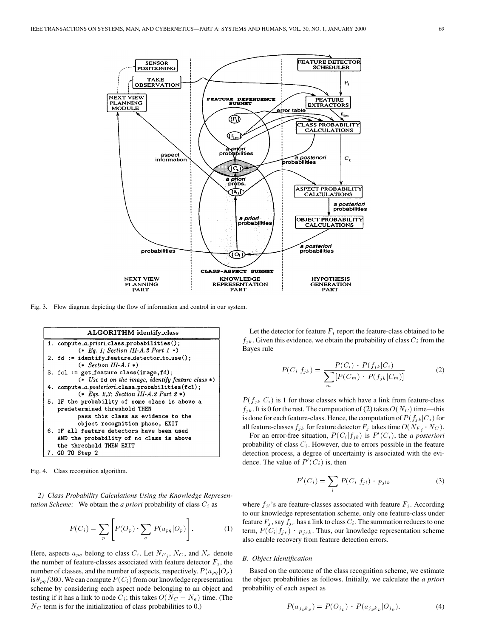

Fig. 3. Flow diagram depicting the flow of information and control in our system.



Fig. 4. Class recognition algorithm.

*2) Class Probability Calculations Using the Knowledge Representation Scheme:* We obtain the *a priori* probability of class  $C_i$  as

$$
P(C_i) = \sum_p \left[ P(O_p) \cdot \sum_q P(a_{pq} | O_p) \right]. \tag{1}
$$

Here, aspects  $a_{pq}$  belong to class  $C_i$ . Let  $N_{F_j}$ ,  $N_C$ , and  $N_a$  denote the number of feature-classes associated with feature detector  $F_j$ , the number of classes, and the number of aspects, respectively.  $P(a_{pq}|O_p)$ is  $\theta_{pq}/360$ . We can compute  $P(C_i)$  from our knowledge representation scheme by considering each aspect node belonging to an object and testing if it has a link to node  $C_i$ ; this takes  $O(N_C + N_a)$  time. (The  $N_C$  term is for the initialization of class probabilities to 0.)

Let the detector for feature  $F_i$  report the feature-class obtained to be  $f_{jk}$ . Given this evidence, we obtain the probability of class  $C_i$  from the Bayes rule

$$
P(C_i|f_{jk}) = \frac{P(C_i) \cdot P(f_{jk}|C_i)}{\sum_{m} [P(C_m) \cdot P(f_{jk}|C_m)]}
$$
(2)

 $P(f_{jk}|C_i)$  is 1 for those classes which have a link from feature-class  $f_{jk}$ . It is 0 for the rest. The computation of (2) takes  $O(N_C)$  time—this is done for each feature-class. Hence, the computation of  $P(f_{jk}|C_i)$  for all feature-classes  $f_{ik}$  for feature detector  $F_i$  takes time  $O(N_{F_i} \cdot N_C)$ .

For an error-free situation,  $P(C_i|f_{jk})$  is  $P'(C_i)$ , the *a posteriori* probability of class  $C_i$ . However, due to errors possible in the feature detection process, a degree of uncertainty is associated with the evidence. The value of  $P(C_i)$  is, then

$$
P'(C_i) = \sum_l P(C_i|f_{jl}) \cdot p_{jlk} \tag{3}
$$

where  $f_{jl}$ 's are feature-classes associated with feature  $F_j$ . According to our knowledge representation scheme, only one feature-class under feature  $F_j$ , say  $f_{jr}$  has a link to class  $C_i$ . The summation reduces to one term,  $P(C_i|f_{jr})$   $p_{jrk}$ . Thus, our knowledge representation scheme also enable recovery from feature detection errors.

## *B. Object Identification*

Based on the outcome of the class recognition scheme, we estimate the object probabilities as follows. Initially, we calculate the *a priori* probability of each aspect as

$$
P(a_{j_{p}k_{p}}) = P(O_{j_{p}}) \cdot P(a_{j_{p}k_{p}}|O_{j_{p}}).
$$
\n(4)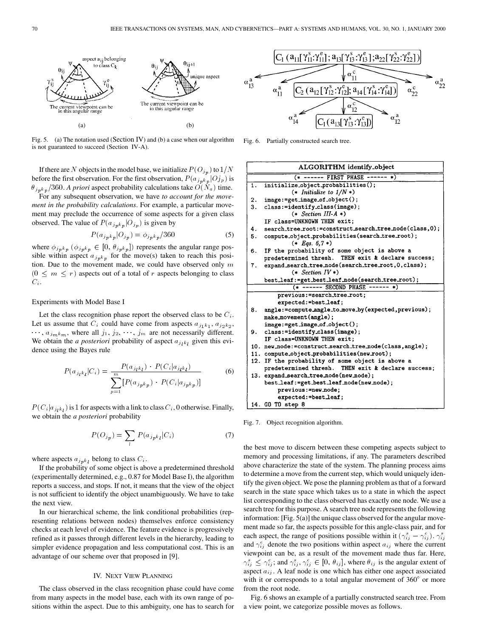

Fig. 5. (a) The notation used (Section IV) and (b) a case when our algorithm is not guaranteed to succeed (Section IV-A).

If there are N objects in the model base, we initialize  $P(O_{in})$  to  $1/N$ before the first observation. For the first observation,  $P(a_{j_p k_p} | O_j)_p$  is  $\theta_{j_p k_p}$ /360. *A priori* aspect probability calculations take  $\dot{O}(N_a)$  time.

For any subsequent observation, we have *to account for the movement in the probability calculations*. For example, a particular movement may preclude the occurrence of some aspects for a given class observed. The value of  $P(a_{j p k p} | O_{j p})$  is given by

$$
P(a_{j_p k_p} | O_{j_p}) = \phi_{j_p k_p} / 360 \tag{5}
$$

where  $\phi_{j p k p}$  ( $\phi_{j p k p} \in [0, \theta_{j p k p}]$ ) represents the angular range possible within aspect  $a_{j_p k_p}$  for the move(s) taken to reach this position. Due to the movement made, we could have observed only  $m$  $(0 \leq m \leq r)$  aspects out of a total of r aspects belonging to class  $C_i$ .

# Experiments with Model Base I

Let the class recognition phase report the observed class to be  $C_i$ . Let us assume that  $C_i$  could have come from aspects  $a_{j_1k_1}, a_{j_2k_2},$  $\cdots$ ,  $a_{jmk_m}$ , where all  $j_1, j_2, \cdots, j_m$  are not necessarily different. We obtain the *a posteriori* probability of aspect  $a_{j_k k_k}$  given this evidence using the Bayes rule

$$
P(a_{jkl}|C_i) = \frac{P(a_{jkl}) \cdot P(C_i|a_{jkl})}{\sum_{p=1}^{m} [P(a_{jpkp}) \cdot P(C_i|a_{jpkp})]}
$$
(6)

 $P(C_i|a_{j_k k_l})$  is 1 for aspects with a link to class  $C_i$ , 0 otherwise. Finally, we obtain the *a posteriori* probability

$$
P(O_{jp}) = \sum_{l} P(a_{jp} \kappa_l | C_i)
$$
\n<sup>(7)</sup>

where aspects  $a_{j p k_l}$  belong to class  $C_i$ .

If the probability of some object is above a predetermined threshold (experimentally determined, e.g., 0.87 for Model Base I), the algorithm reports a success, and stops. If not, it means that the view of the object is not sufficient to identify the object unambiguously. We have to take the next view.

In our hierarchical scheme, the link conditional probabilities (representing relations between nodes) themselves enforce consistency checks at each level of evidence. The feature evidence is progressively refined as it passes through different levels in the hierarchy, leading to simpler evidence propagation and less computational cost. This is an advantage of our scheme over that proposed in [9].

# IV. NEXT VIEW PLANNING

The class observed in the class recognition phase could have come from many aspects in the model base, each with its own range of positions within the aspect. Due to this ambiguity, one has to search for



Fig. 6. Partially constructed search tree.



Fig. 7. Object recognition algorithm.

the best move to discern between these competing aspects subject to memory and processing limitations, if any. The parameters described above characterize the state of the system. The planning process aims to determine a move from the current step, which would uniquely identify the given object. We pose the planning problem as that of a forward search in the state space which takes us to a state in which the aspect list corresponding to the class observed has exactly one node. We use a search tree for this purpose. A search tree node represents the following information: [Fig. 5(a)] the unique class observed for the angular movement made so far, the aspects possible for this angle-class pair, and for each aspect, the range of positions possible within it  $(\gamma_{ij}^s - \gamma_{ij}^e)$ .  $\gamma_{ij}^s$ and  $\gamma_{ij}^e$  denote the two positions within aspect  $a_{ij}$  where the current viewpoint can be, as a result of the movement made thus far. Here,  $\gamma_{ij}^s \leq \gamma_{ij}^e$ ; and  $\gamma_{ij}^s, \gamma_{ij}^e \in [0, \theta_{ij}]$ , where  $\theta_{ij}$  is the angular extent of aspect  $a_{ij}$ . A leaf node is one which has either one aspect associated with it or corresponds to a total angular movement of  $360^\circ$  or more from the root node.

Fig. 6 shows an example of a partially constructed search tree. From a view point, we categorize possible moves as follows.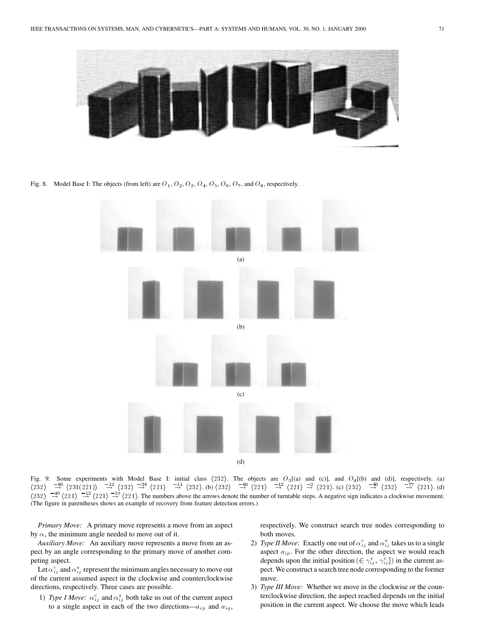

Fig. 8. Model Base I: The objects (from left) are  $O_1$ ,  $O_2$ ,  $O_3$ ,  $O_4$ ,  $O_5$ ,  $O_6$ ,  $O_7$ , and  $O_8$ , respectively.



Fig. 9. Some experiments with Model Base I: initial class  $\langle 232 \rangle$ . The objects are  $O_3$ [(a) and (c)], and  $O_4$ [(b) and (d)], respectively. (a)  $\langle 232 \rangle$   $\rightarrow$   $\langle 231(221) \rangle$   $\rightarrow$   $\langle 232 \rangle$   $\rightarrow$   $\langle 221 \rangle$   $\rightarrow$   $\langle 232 \rangle$ . (b)  $\langle 232 \rangle$   $\rightarrow$   $\langle 221 \rangle$   $\rightarrow$   $\langle 221 \rangle$   $\rightarrow$   $\langle 221 \rangle$ . (c)  $\langle 232 \rangle$   $\rightarrow$   $\langle 232 \rangle$   $\rightarrow$   $\langle 232 \rangle$   $\rightarrow$   $\langle 221 \rangle$ . (d)  $\langle 232 \rangle \rightarrow 40$   $\langle 221 \rangle \rightarrow 221$   $\rightarrow 33$   $\langle 221 \rangle$ . The numbers above the arrows denote the number of turntable steps. A negative sign indicates a clockwise movement. (The figure in parentheses shows an example of recovery from feature detection errors.)

*Primary Move:* A primary move represents a move from an aspect by  $\alpha$ , the minimum angle needed to move out of it.

*Auxiliary Move:* An auxiliary move represents a move from an aspect by an angle corresponding to the primary move of another competing aspect.

Let  $\alpha_{ij}^c$  and  $\alpha_{ij}^a$  represent the minimum angles necessary to move out of the current assumed aspect in the clockwise and counterclockwise directions, respectively. Three cases are possible.

1) *Type I Move*:  $\alpha_{ij}^c$  and  $\alpha_{ij}^a$  both take us out of the current aspect to a single aspect in each of the two directions— $a_{ip}$  and  $a_{iq}$ , respectively. We construct search tree nodes corresponding to both moves.

- 2) *Type II Move*: Exactly one out of  $\alpha_{ij}^c$  and  $\alpha_{ij}^a$  takes us to a single aspect  $a_{ip}$ . For the other direction, the aspect we would reach depends upon the initial position  $(\in \gamma_{ij}^s, \gamma_{ij}^e]$  in the current aspect. We construct a search tree node corresponding to the former move.
- 3) *Type III Move:* Whether we move in the clockwise or the counterclockwise direction, the aspect reached depends on the initial position in the current aspect. We choose the move which leads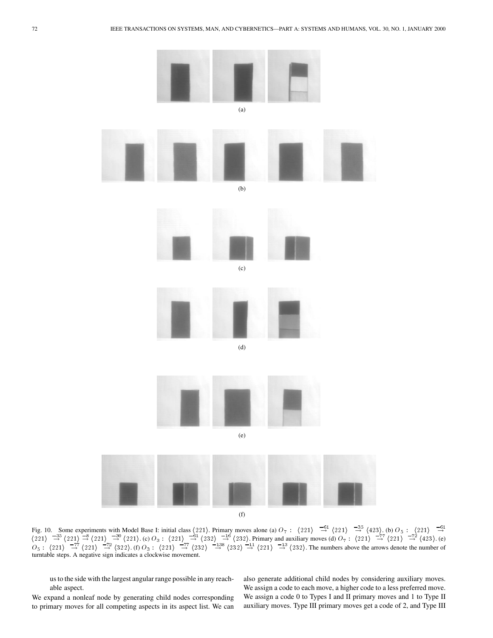

Fig. 10. Some experiments with Model Base I: initial class  $\langle 221 \rangle$ . Primary moves alone (a)  $O_7$ :  $\langle 221 \rangle \rightarrow 23$   $\rightarrow 42$   $\rightarrow 3$   $\langle 423 \rangle$ . (b)  $O_5$ :  $\langle 221 \rangle \rightarrow 24$  $\frac{221}{2}$   $\frac{33}{4}$   $\frac{221}{2}$   $\frac{33}{4}$   $\frac{221}{2}$   $\frac{332}{4}$   $\frac{1221}{2}$   $\frac{123}{4}$   $\frac{123}{4}$   $\frac{123}{4}$   $\frac{123}{4}$   $\frac{123}{4}$   $\frac{123}{4}$   $\frac{123}{4}$   $\frac{123}{4}$   $\frac{123}{4}$   $\frac{123}{4}$   $\frac{123}{4}$   $\frac{12$  $O_5$ :  $\langle 221 \rangle$   $\frac{-77}{-4}$   $\langle 221 \rangle$   $\frac{-72}{-4}$   $\langle 322 \rangle$   $\frac{121}{-4}$   $\langle 232 \rangle$   $\frac{-138}{-4}$   $\langle 232 \rangle$   $\frac{-14}{-4}$   $\langle 232 \rangle$ . The numbers above the arrows denote the number of turntable steps. A negative sign indicates a clockwise movement.

us to the side with the largest angular range possible in any reachable aspect.

We expand a nonleaf node by generating child nodes corresponding to primary moves for all competing aspects in its aspect list. We can also generate additional child nodes by considering auxiliary moves. We assign a code to each move, a higher code to a less preferred move. We assign a code 0 to Types I and II primary moves and 1 to Type II auxiliary moves. Type III primary moves get a code of 2, and Type III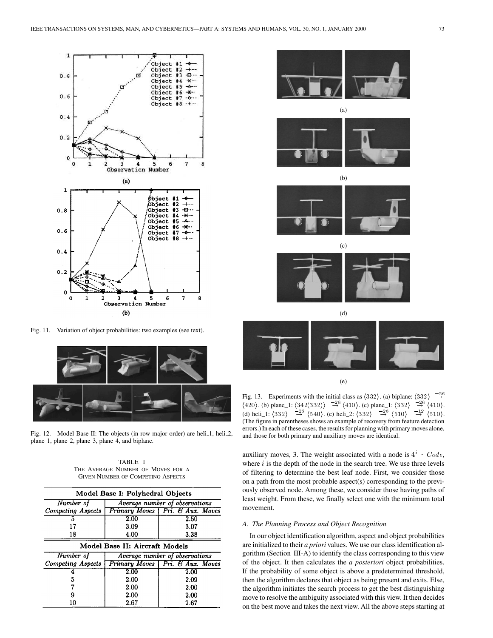

Fig. 11. Variation of object probabilities: two examples (see text).



Fig. 12. Model Base II: The objects (in row major order) are heli<sub>-1</sub>, heli<sub>-2</sub>, plane 1, plane 2, plane 3, plane 4, and biplane.

TABLE I THE AVERAGE NUMBER OF MOVES FOR A GIVEN NUMBER OF COMPETING ASPECTS

|                   | Model Base I: Polyhedral Objects |                                   |  |  |  |  |  |  |
|-------------------|----------------------------------|-----------------------------------|--|--|--|--|--|--|
| Number of         | Average number of observations   |                                   |  |  |  |  |  |  |
| Competing Aspects |                                  | Primary Moves   Pri. & Aux. Moves |  |  |  |  |  |  |
| 5                 | 2.00                             | 2.50                              |  |  |  |  |  |  |
| 17                | 3.09                             | 3.07                              |  |  |  |  |  |  |
| 18                | 4.00                             | 3.38                              |  |  |  |  |  |  |
|                   | Model Base II: Aircraft Models   |                                   |  |  |  |  |  |  |
| Number of         |                                  | Average number of observations    |  |  |  |  |  |  |
| Competing Aspects |                                  | Primary Moves   Pri. & Aux. Moves |  |  |  |  |  |  |
|                   | 2.00                             | 2.00                              |  |  |  |  |  |  |
| 5                 | 2.00                             | 2.09                              |  |  |  |  |  |  |
|                   | 2.00                             | 2.00                              |  |  |  |  |  |  |
| 9                 | 2.00                             | 2.00                              |  |  |  |  |  |  |
| 10                | 2.67                             | 2.67                              |  |  |  |  |  |  |









(d)

(e)

Fig. 13. Experiments with the initial class as  $\langle 332 \rangle$ . (a) biplane:  $\langle 332 \rangle$   $\rightarrow$   $\rightarrow$  $\langle 420 \rangle$ . (b) plane\_1:  $\langle 342(332) \rangle \stackrel{-26}{\rightarrow} \langle 410 \rangle$ . (c) plane\_1:  $\langle 332 \rangle \stackrel{-26}{\rightarrow} \langle 410 \rangle$ . (d) heli\_1:  $\langle 332 \rangle \stackrel{-26}{\rightarrow} \langle 540 \rangle$ . (e) heli\_2:  $\langle 332 \rangle \stackrel{-26}{\rightarrow} \langle 510 \rangle \stackrel{-12}{\rightarrow} \langle 510 \rangle$ . (The figure in parentheses shows an example of recovery from feature detection errors.) In each of these cases, the results for planning with primary moves alone, and those for both primary and auxiliary moves are identical.

auxiliary moves, 3. The weight associated with a node is  $4^i$  ·  $Code$ , where  $i$  is the depth of the node in the search tree. We use three levels of filtering to determine the best leaf node. First, we consider those on a path from the most probable aspect(s) corresponding to the previously observed node. Among these, we consider those having paths of least weight. From these, we finally select one with the minimum total movement.

# *A. The Planning Process and Object Recognition*

In our object identification algorithm, aspect and object probabilities are initialized to their *a priori* values. We use our class identification algorithm (Section III-A) to identify the class corresponding to this view of the object. It then calculates the *a posteriori* object probabilities. If the probability of some object is above a predetermined threshold, then the algorithm declares that object as being present and exits. Else, the algorithm initiates the search process to get the best distinguishing move to resolve the ambiguity associated with this view. It then decides on the best move and takes the next view. All the above steps starting at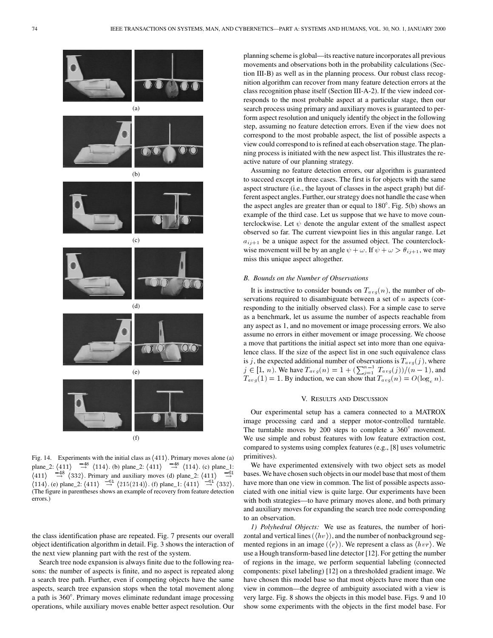

Fig. 14. Experiments with the initial class as  $\langle 411 \rangle$ . Primary moves alone (a) plane\_2:  $\langle 411 \rangle$   $\longrightarrow^{\text{48}}$   $\langle 114 \rangle$ . (b) plane\_2:  $\langle 411 \rangle$   $\longrightarrow^{\text{48}}$   $\langle 114 \rangle$ . (c) plane\_1:  $\langle 411 \rangle$   $\longrightarrow^{\text{48}}$   $\langle 332 \rangle$ . Primary and auxiliary moves (d) plane 2:  $\langle 411 \rangle$   $\longrightarrow^{\text{49}}$  $\langle 411 \rangle$   $\rightarrow$   $\langle 332 \rangle$ . Primary and auxiliary moves (d) plane\_2:  $\langle 411 \rangle$  $\langle 114 \rangle$ . (e) plane\_2:  $\langle 411 \rangle \stackrel{-61}{\rightarrow} \langle 215(214) \rangle$ . (f) plane\_1:  $\langle 411 \rangle \stackrel{-61}{\rightarrow} \langle 332 \rangle$ . (The figure in parentheses shows an example of recovery from feature detection errors.)

the class identification phase are repeated. Fig. 7 presents our overall object identification algorithm in detail. Fig. 3 shows the interaction of the next view planning part with the rest of the system.

Search tree node expansion is always finite due to the following reasons: the number of aspects is finite, and no aspect is repeated along a search tree path. Further, even if competing objects have the same aspects, search tree expansion stops when the total movement along a path is 360 . Primary moves eliminate redundant image processing operations, while auxiliary moves enable better aspect resolution. Our planning scheme is global—its reactive nature incorporates all previous movements and observations both in the probability calculations (Section III-B) as well as in the planning process. Our robust class recognition algorithm can recover from many feature detection errors at the class recognition phase itself (Section III-A-2). If the view indeed corresponds to the most probable aspect at a particular stage, then our search process using primary and auxiliary moves is guaranteed to perform aspect resolution and uniquely identify the object in the following step, assuming no feature detection errors. Even if the view does not correspond to the most probable aspect, the list of possible aspects a view could correspond to is refined at each observation stage. The planning process is initiated with the new aspect list. This illustrates the reactive nature of our planning strategy.

Assuming no feature detection errors, our algorithm is guaranteed to succeed except in three cases. The first is for objects with the same aspect structure (i.e., the layout of classes in the aspect graph) but different aspect angles. Further, our strategy does not handle the case when the aspect angles are greater than or equal to  $180^\circ$ . Fig. 5(b) shows an example of the third case. Let us suppose that we have to move counterclockwise. Let  $\psi$  denote the angular extent of the smallest aspect observed so far. The current viewpoint lies in this angular range. Let  $a_{i,j+1}$  be a unique aspect for the assumed object. The counterclockwise movement will be by an angle  $\psi + \omega$ . If  $\psi + \omega > \theta_{ij+1}$ , we may miss this unique aspect altogether.

## *B. Bounds on the Number of Observations*

It is instructive to consider bounds on  $T_{avg}(n)$ , the number of observations required to disambiguate between a set of  $n$  aspects (corresponding to the initially observed class). For a simple case to serve as a benchmark, let us assume the number of aspects reachable from any aspect as 1, and no movement or image processing errors. We also assume no errors in either movement or image processing. We choose a move that partitions the initial aspect set into more than one equivalence class. If the size of the aspect list in one such equivalence class is j, the expected additional number of observations is  $T_{avg}(j)$ , where  $j \in [1, n]$ . We have  $T_{avg}(n) = 1 + (\sum_{j=1}^{n-1} T_{avg}(j))/(n-1)$ , and  $T_{avg}(1) = 1$ . By induction, we can show that  $T_{avg}(n) = O(\log_e n)$ .

## V. RESULTS AND DISCUSSION

Our experimental setup has a camera connected to a MATROX image processing card and a stepper motor-controlled turntable. The turntable moves by 200 steps to complete a  $360^\circ$  movement. We use simple and robust features with low feature extraction cost, compared to systems using complex features (e.g., [8] uses volumetric primitives).

We have experimented extensively with two object sets as model bases. We have chosen such objects in our model base that most of them have more than one view in common. The list of possible aspects associated with one initial view is quite large. Our experiments have been with both strategies—to have primary moves alone, and both primary and auxiliary moves for expanding the search tree node corresponding to an observation.

*1) Polyhedral Objects:* We use as features, the number of horizontal and vertical lines  $(\langle hv \rangle)$ , and the number of nonbackground segmented regions in an image  $(\langle r \rangle)$ . We represent a class as  $\langle hvr \rangle$ . We use a Hough transform-based line detector [12]. For getting the number of regions in the image, we perform sequential labeling (connected components: pixel labeling) [12] on a thresholded gradient image. We have chosen this model base so that most objects have more than one view in common—the degree of ambiguity associated with a view is very large. Fig. 8 shows the objects in this model base. Figs. 9 and 10 show some experiments with the objects in the first model base. For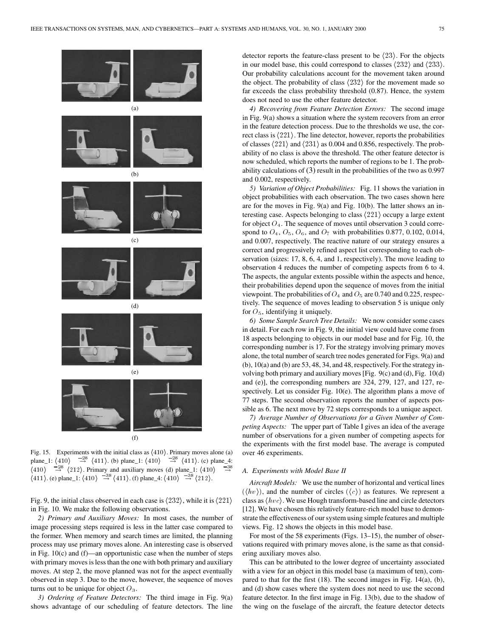

Fig. 15. Experiments with the initial class as  $\langle 410 \rangle$ . Primary moves alone (a) plane\_1:  $\langle 410 \rangle$   $\rightarrow$   $^{28}$   $\langle 411 \rangle$ . (b) plane\_1:  $\langle 410 \rangle$   $\rightarrow$   $^{28}$   $\langle 411 \rangle$ . (c) plane\_4:  $\langle 410 \rangle$   $\longrightarrow^{\sim}$   $\langle 212 \rangle$ . Primary and auxiliary moves (d) plane\_1:  $\langle 410 \rangle$  $\langle 411 \rangle$ . (e) plane\_1:  $\langle 410 \rangle \stackrel{-38}{\rightarrow} \langle 411 \rangle$ . (f) plane\_4:  $\langle 410 \rangle \stackrel{-38}{\rightarrow} \langle 212 \rangle$ .

Fig. 9, the initial class observed in each case is  $\langle 232 \rangle$ , while it is  $\langle 221 \rangle$ in Fig. 10. We make the following observations.

*2) Primary and Auxiliary Moves:* In most cases, the number of image processing steps required is less in the latter case compared to the former. When memory and search times are limited, the planning process may use primary moves alone. An interesting case is observed in Fig. 10(c) and (f)—an opportunistic case when the number of steps with primary moves is less than the one with both primary and auxiliary moves. At step 2, the move planned was not for the aspect eventually observed in step 3. Due to the move, however, the sequence of moves turns out to be unique for object  $O_3$ .

*3) Ordering of Feature Detectors:* The third image in Fig. 9(a) shows advantage of our scheduling of feature detectors. The line detector reports the feature-class present to be  $\langle 23 \rangle$ . For the objects in our model base, this could correspond to classes  $\langle 232 \rangle$  and  $\langle 233 \rangle$ . Our probability calculations account for the movement taken around the object. The probability of class  $\langle 232 \rangle$  for the movement made so far exceeds the class probability threshold (0.87). Hence, the system does not need to use the other feature detector.

*4) Recovering from Feature Detection Errors:* The second image in Fig. 9(a) shows a situation where the system recovers from an error in the feature detection process. Due to the thresholds we use, the correct class is  $\langle 221 \rangle$ . The line detector, however, reports the probabilities of classes  $\langle 221 \rangle$  and  $\langle 231 \rangle$  as 0.004 and 0.856, respectively. The probability of no class is above the threshold. The other feature detector is now scheduled, which reports the number of regions to be 1. The probability calculations of (3) result in the probabilities of the two as 0.997 and 0.002, respectively.

*5) Variation of Object Probabilities:* Fig. 11 shows the variation in object probabilities with each observation. The two cases shown here are for the moves in Fig. 9(a) and Fig. 10(b). The latter shows an interesting case. Aspects belonging to class  $\langle 221 \rangle$  occupy a large extent for object  $O_4$ . The sequence of moves until observation 3 could correspond to  $O_4$ ,  $O_5$ ,  $O_6$ , and  $O_7$  with probabilities 0.877, 0.102, 0.014, and 0.007, respectively. The reactive nature of our strategy ensures a correct and progressively refined aspect list corresponding to each observation (sizes: 17, 8, 6, 4, and 1, respectively). The move leading to observation 4 reduces the number of competing aspects from 6 to 4. The aspects, the angular extents possible within the aspects and hence, their probabilities depend upon the sequence of moves from the initial viewpoint. The probabilities of  $O_4$  and  $O_5$  are 0.740 and 0.225, respectively. The sequence of moves leading to observation 5 is unique only for  $O_5$ , identifying it uniquely.

*6) Some Sample Search Tree Details:* We now consider some cases in detail. For each row in Fig. 9, the initial view could have come from 18 aspects belonging to objects in our model base and for Fig. 10, the corresponding number is 17. For the strategy involving primary moves alone, the total number of search tree nodes generated for Figs. 9(a) and  $(b)$ ,  $10(a)$  and  $(b)$  are 53, 48, 34, and 48, respectively. For the strategy involving both primary and auxiliary moves [Fig. 9(c) and (d), Fig. 10(d) and (e)], the corresponding numbers are 324, 279, 127, and 127, respectively. Let us consider Fig. 10(e). The algorithm plans a move of 77 steps. The second observation reports the number of aspects possible as 6. The next move by 72 steps corresponds to a unique aspect.

*7) Average Number of Observations for a Given Number of Competing Aspects:* The upper part of Table I gives an idea of the average number of observations for a given number of competing aspects for the experiments with the first model base. The average is computed over 46 experiments.

# *A. Experiments with Model Base II*

*Aircraft Models:* We use the number of horizontal and vertical lines  $(\langle hv \rangle)$ , and the number of circles  $(\langle c \rangle)$  as features. We represent a class as  $\langle h v c \rangle$ . We use Hough transform-based line and circle detectors [12]. We have chosen this relatively feature-rich model base to demonstrate the effectiveness of our system using simple features and multiple views. Fig. 12 shows the objects in this model base.

For most of the 58 experiments (Figs. 13–15), the number of observations required with primary moves alone, is the same as that considering auxiliary moves also.

This can be attributed to the lower degree of uncertainty associated with a view for an object in this model base (a maximum of ten), compared to that for the first (18). The second images in Fig. 14(a), (b), and (d) show cases where the system does not need to use the second feature detector. In the first image in Fig. 13(b), due to the shadow of the wing on the fuselage of the aircraft, the feature detector detects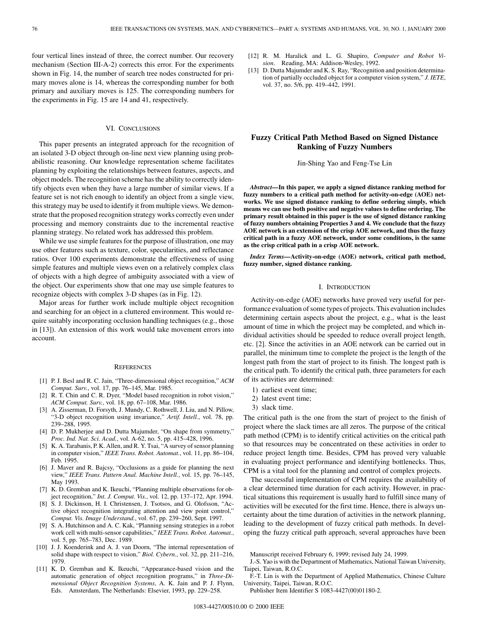four vertical lines instead of three, the correct number. Our recovery mechanism (Section III-A-2) corrects this error. For the experiments shown in Fig. 14, the number of search tree nodes constructed for primary moves alone is 14, whereas the corresponding number for both primary and auxiliary moves is 125. The corresponding numbers for the experiments in Fig. 15 are 14 and 41, respectively.

## VI. CONCLUSIONS

This paper presents an integrated approach for the recognition of an isolated 3-D object through on-line next view planning using probabilistic reasoning. Our knowledge representation scheme facilitates planning by exploiting the relationships between features, aspects, and object models. The recognition scheme has the ability to correctly identify objects even when they have a large number of similar views. If a feature set is not rich enough to identify an object from a single view, this strategy may be used to identify it from multiple views. We demonstrate that the proposed recognition strategy works correctly even under processing and memory constraints due to the incremental reactive planning strategy. No related work has addressed this problem.

While we use simple features for the purpose of illustration, one may use other features such as texture, color, specularities, and reflectance ratios. Over 100 experiments demonstrate the effectiveness of using simple features and multiple views even on a relatively complex class of objects with a high degree of ambiguity associated with a view of the object. Our experiments show that one may use simple features to recognize objects with complex 3-D shapes (as in Fig. 12).

Major areas for further work include multiple object recognition and searching for an object in a cluttered environment. This would require suitably incorporating occlusion handling techniques (e.g., those in [13]). An extension of this work would take movement errors into account.

#### **REFERENCES**

- [1] P. J. Besl and R. C. Jain, "Three-dimensional object recognition," *ACM Comput. Surv.*, vol. 17, pp. 76–145, Mar. 1985.
- [2] R. T. Chin and C. R. Dyer, "Model based recognition in robot vision," *ACM Comput. Surv.*, vol. 18, pp. 67–108, Mar. 1986.
- [3] A. Zisserman, D. Forsyth, J. Mundy, C. Rothwell, J. Liu, and N. Pillow, "3-D object recognition using invariance," *Artif. Intell.*, vol. 78, pp. 239–288, 1995.
- [4] D. P. Mukherjee and D. Dutta Majumder, "On shape from symmetry," *Proc. Ind. Nat. Sci. Acad.*, vol. A-62, no. 5, pp. 415–428, 1996.
- [5] K. A. Tarabanis, P. K. Allen, and R. Y. Tsai, "A survey of sensor planning in computer vision," *IEEE Trans. Robot. Automat.*, vol. 11, pp. 86–104, Feb. 1995.
- [6] J. Maver and R. Bajcsy, "Occlusions as a guide for planning the next view," *IEEE Trans. Pattern Anal. Machine Intell.*, vol. 15, pp. 76–145, May 1993.
- [7] K. D. Gremban and K. Ikeuchi, "Planning multiple observations for object recognition," *Int. J. Comput. Vis.*, vol. 12, pp. 137–172, Apr. 1994.
- [8] S. J. Dickinson, H. I. Christensen, J. Tsotsos, and G. Olofsson, "Active object recognition integrating attention and view point control," *Comput. Vis. Image Understand.*, vol. 67, pp. 239–260, Sept. 1997.
- [9] S. A. Hutchinson and A. C. Kak, "Planning sensing strategies in a robot work cell with multi-sensor capabilities," *IEEE Trans. Robot. Automat.*, vol. 5, pp. 765–783, Dec. 1989.
- [10] J. J. Koenderink and A. J. van Doorn, "The internal representation of solid shape with respect to vision," *Biol. Cybern.*, vol. 32, pp. 211–216, 1979.
- [11] K. D. Gremban and K. Ikeuchi, "Appearance-based vision and the automatic generation of object recognition programs," in *Three-Dimensional Object Recognition Systems*, A. K. Jain and P. J. Flynn, Eds. Amsterdam, The Netherlands: Elsevier, 1993, pp. 229–258.
- [12] R. M. Haralick and L. G. Shapiro, *Computer and Robot Vision*. Reading, MA: Addison-Wesley, 1992.
- [13] D. Dutta Majumder and K. S. Ray, "Recognition and position determination of partially occluded object for a computer vision system," *J. IETE*, vol. 37, no. 5/6, pp. 419–442, 1991.

# **Fuzzy Critical Path Method Based on Signed Distance Ranking of Fuzzy Numbers**

Jin-Shing Yao and Feng-Tse Lin

*Abstract—***In this paper, we apply a signed distance ranking method for fuzzy numbers to a critical path method for activity-on-edge (AOE) networks. We use signed distance ranking to define ordering simply, which means we can use both positive and negative values to define ordering. The primary result obtained in this paper is the use of signed distance ranking of fuzzy numbers obtaining Properties 3 and 4. We conclude that the fuzzy AOE network is an extension of the crisp AOE network, and thus the fuzzy critical path in a fuzzy AOE network, under some conditions, is the same as the crisp critical path in a crisp AOE network.**

*Index Terms—***Activity-on-edge (AOE) network, critical path method, fuzzy number, signed distance ranking.**

## I. INTRODUCTION

Activity-on-edge (AOE) networks have proved very useful for performance evaluation of some types of projects. This evaluation includes determining certain aspects about the project, e.g., what is the least amount of time in which the project may be completed, and which individual activities should be speeded to reduce overall project length, etc. [2]. Since the activities in an AOE network can be carried out in parallel, the minimum time to complete the project is the length of the longest path from the start of project to its finish. The longest path is the critical path. To identify the critical path, three parameters for each of its activities are determined:

- 1) earliest event time;
- 2) latest event time;
- 3) slack time.

The critical path is the one from the start of project to the finish of project where the slack times are all zeros. The purpose of the critical path method (CPM) is to identify critical activities on the critical path so that resources may be concentrated on these activities in order to reduce project length time. Besides, CPM has proved very valuable in evaluating project performance and identifying bottlenecks. Thus, CPM is a vital tool for the planning and control of complex projects.

The successful implementation of CPM requires the availability of a clear determined time duration for each activity. However, in practical situations this requirement is usually hard to fulfill since many of activities will be executed for the first time. Hence, there is always uncertainty about the time duration of activities in the network planning, leading to the development of fuzzy critical path methods. In developing the fuzzy critical path approach, several approaches have been

Manuscript received February 6, 1999; revised July 24, 1999.

- J.-S. Yao is with the Department of Mathematics, National Taiwan University, Taipei, Taiwan, R.O.C.
- F.-T. Lin is with the Department of Applied Mathematics, Chinese Culture University, Taipei, Taiwan, R.O.C.
	- Publisher Item Identifier S 1083-4427(00)01180-2.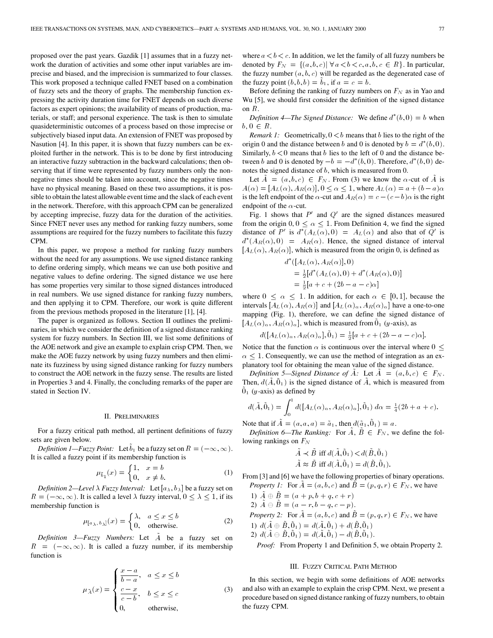proposed over the past years. Gazdik [1] assumes that in a fuzzy network the duration of activities and some other input variables are imprecise and biased, and the imprecision is summarized to four classes. This work proposed a technique called FNET based on a combination of fuzzy sets and the theory of graphs. The membership function expressing the activity duration time for FNET depends on such diverse factors as expert opinions; the availability of means of production, materials, or staff; and personal experience. The task is then to simulate quasideterministic outcomes of a process based on those imprecise or subjectively biased input data. An extension of FNET was proposed by Nasution [4]. In this paper, it is shown that fuzzy numbers can be exploited further in the network. This is to be done by first introducing an interactive fuzzy subtraction in the backward calculations; then observing that if time were represented by fuzzy numbers only the nonnegative times should be taken into account, since the negative times have no physical meaning. Based on these two assumptions, it is possible to obtain the latest allowable event time and the slack of each event in the network. Therefore, with this approach CPM can be generalized by accepting imprecise, fuzzy data for the duration of the activities. Since FNET never uses any method for ranking fuzzy numbers, some assumptions are required for the fuzzy numbers to facilitate this fuzzy CPM.

In this paper, we propose a method for ranking fuzzy numbers without the need for any assumptions. We use signed distance ranking to define ordering simply, which means we can use both positive and negative values to define ordering. The signed distance we use here has some properties very similar to those signed distances introduced in real numbers. We use signed distance for ranking fuzzy numbers, and then applying it to CPM. Therefore, our work is quite different from the previous methods proposed in the literature [1], [4].

The paper is organized as follows. Section II outlines the preliminaries, in which we consider the definition of a signed distance ranking system for fuzzy numbers. In Section III, we list some definitions of the AOE network and give an example to explain crisp CPM. Then, we make the AOE fuzzy network by using fuzzy numbers and then eliminate its fuzziness by using signed distance ranking for fuzzy numbers to construct the AOE network in the fuzzy sense. The results are listed in Properties 3 and 4. Finally, the concluding remarks of the paper are stated in Section IV.

## II. PRELIMINARIES

For a fuzzy critical path method, all pertinent definitions of fuzzy sets are given below.

*Definition 1—Fuzzy Point:* Let  $\tilde{b}_1$  be a fuzzy set on  $R = (-\infty, \infty)$ . It is called a fuzzy point if its membership function is

$$
\mu_{\tilde{b}_1}(x)=\begin{cases} 1,&x=b\\ 0,&x\neq b. \end{cases} \eqno{(1)}
$$

*Definition 2—Level*  $\lambda$  *Fuzzy Interval:* Let  $[a_{\lambda}, b_{\lambda}]$  be a fuzzy set on  $R = (-\infty, \infty)$ . It is called a level  $\lambda$  fuzzy interval,  $0 \leq \lambda \leq 1$ , if its membership function is

$$
\mu_{[a_{\lambda},b_{\lambda}]}(x) = \begin{cases} \lambda, & a \le x \le b \\ 0, & \text{otherwise.} \end{cases}
$$
 (2)

*Definition 3—Fuzzy Numbers:* Let A~ be a fuzzy set on  $R = (-\infty, \infty)$ . It is called a fuzzy number, if its membership function is

$$
\mu_{\tilde{A}}(x) = \begin{cases}\n\frac{x-a}{b-a}, & a \leq x \leq b \\
\frac{c-x}{c-b}, & b \leq x \leq c \\
0, & \text{otherwise,} \n\end{cases}
$$
\n(3)

where  $a < b < c$ . In addition, we let the family of all fuzzy numbers be denoted by  $F_N = \{(a, b, c) | \forall a < b < c, a, b, c \in R\}$ . In particular, the fuzzy number  $(a, b, c)$  will be regarded as the degenerated case of the fuzzy point  $(b, b, b) = b_1$ , if  $a = c = b$ .

Before defining the ranking of fuzzy numbers on  $F_N$  as in Yao and Wu [5], we should first consider the definition of the signed distance on R.

Definition 4—The Signed Distance: We define  $d^*(b, 0) = b$  when  $b, 0 \in R$ .

*Remark 1:* Geometrically,  $0 < b$  means that b lies to the right of the origin 0 and the distance between b and 0 is denoted by  $b = d^*(b, 0)$ . Similarly,  $b < 0$  means that b lies to the left of 0 and the distance between b and 0 is denoted by  $-b = -d^*(b, 0)$ . Therefore,  $d^*(b, 0)$  denotes the signed distance of b, which is measured from 0.

Let  $A = (a, b, c) \in F_N$ . From (3) we know the  $\alpha$ -cut of A is  $A(\alpha)=[A_L(\alpha), A_R(\alpha)], 0 \leq \alpha \leq 1$ , where  $A_L(\alpha) = a + (b - a)\alpha$ is the left endpoint of the  $\alpha$ -cut and  $A_R(\alpha) = c - (c - b)\alpha$  is the right endpoint of the  $\alpha$ -cut.

Fig. 1 shows that  $P'$  and  $Q'$  are the signed distances measured from the origin 0,  $0 \leq \alpha \leq 1$ . From Definition 4, we find the signed distance of P' is  $d^*(A_L(\alpha),0) = A_L(\alpha)$  and also that of  $Q'$  is  $d^*(A_R(\alpha), 0) = A_R(\alpha)$ . Hence, the signed distance of interval  $[A_L(\alpha), A_R(\alpha)]$ , which is measured from the origin 0, is defined as

$$
d^*([A_L(\alpha), A_R(\alpha)], 0)
$$
  
=  $\frac{1}{2}[d^*(A_L(\alpha), 0) + d^*(A_R(\alpha), 0)]$   
=  $\frac{1}{2}[a + c + (2b - a - c)\alpha]$ 

where  $0 \leq \alpha \leq 1$ . In addition, for each  $\alpha \in [0, 1]$ , because the intervals  $[A_L(\alpha), A_R(\alpha)]$  and  $[A_L(\alpha), A_R(\alpha)]$  have a one-to-one mapping (Fig. 1), therefore, we can define the signed distance of  $[A_L(\alpha)_\alpha, A_R(\alpha)_\alpha]$ , which is measured from  $\tilde{0}_1$  (y-axis), as

$$
d([A_L(\alpha)_\alpha, A_R(\alpha)_\alpha], \tilde{0}_1) = \frac{1}{2}[a+c+(2b-a-c)\alpha].
$$

Notice that the function  $\alpha$  is continuous over the interval where  $0 \leq$  $\alpha \leq 1$ . Consequently, we can use the method of integration as an explanatory tool for obtaining the mean value of the signed distance.

*Definition 5—Signed Distance of A:* Let  $\overline{A} = (a, b, c) \in F_N$ . Then,  $d(A, \hat{0}_1)$  is the signed distance of A, which is measured from  $0<sub>1</sub>$  (y-axis) as defined by

$$
d(\tilde{A}, \tilde{0}_1) = \int_0^1 d([A_L(\alpha)_\alpha, A_R(\alpha)_\alpha], \tilde{0}_1) \, d\alpha = \frac{1}{4}(2b + a + c).
$$

Note that if  $A = (a, a, a) = \tilde{a}_1$ , then  $d(\tilde{a}_1, \tilde{0}_1) = a$ .

*Definition 6—The Ranking:* For  $A, B \in F_N$ , we define the following rankings on  $F_N$ 

$$
\tilde{A} \prec \tilde{B} \text{ iff } d(\tilde{A}, \tilde{0}_1) < d(\tilde{B}, \tilde{0}_1) \\
\tilde{A} \approx \tilde{B} \text{ iff } d(\tilde{A}, \tilde{0}_1) = d(\tilde{B}, \tilde{0}_1).
$$

From [3] and [6] we have the following properties of binary operations. *Property 1:* For  $A = (a, b, c)$  and  $B = (p, q, r) \in F_N$ , we have

1) 
$$
\tilde{A} \oplus \tilde{B} = (a + p, b + q, c + r)
$$
  
\n2)  $\tilde{A} \oplus \tilde{B} = (a - r, b - q, c - p)$ .  
\nProperty 2: For  $\tilde{A} = (a, b, c)$  and  $\tilde{B} = (p, q, r) \in F_N$ , we have  
\n1)  $d(\tilde{A} \oplus \tilde{B}, \tilde{0}_1) = d(\tilde{A}, \tilde{0}_1) + d(\tilde{B}, \tilde{0}_1)$   
\n2)  $d(\tilde{A} \oplus \tilde{B}, \tilde{0}_1) = d(\tilde{A}, \tilde{0}_1) - d(\tilde{B}, \tilde{0}_1)$ .

*Proof:* From Property 1 and Definition 5, we obtain Property 2.

## III. FUZZY CRITICAL PATH METHOD

In this section, we begin with some definitions of AOE networks and also with an example to explain the crisp CPM. Next, we present a procedure based on signed distance ranking of fuzzy numbers, to obtain the fuzzy CPM.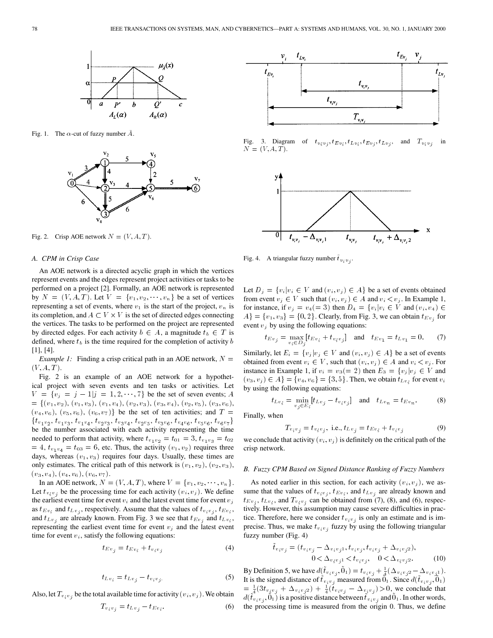

Fig. 1. The  $\alpha$ -cut of fuzzy number  $\overline{A}$ .



Fig. 2. Crisp AOE network  $N = (V, A, T)$ .

#### *A. CPM in Crisp Case*

An AOE network is a directed acyclic graph in which the vertices represent events and the edges represent project activities or tasks to be performed on a project [2]. Formally, an AOE network is represented by  $N = (V, A, T)$ . Let  $V = \{v_1, v_2, \dots, v_n\}$  be a set of vertices representing a set of events, where  $v_1$  is the start of the project,  $v_n$  is its completion, and  $A \subset V \times V$  is the set of directed edges connecting the vertices. The tasks to be performed on the project are represented by directed edges. For each activity  $b \in A$ , a magnitude  $t_b \in T$  is defined, where  $t_b$  is the time required for the completion of activity  $b$ [1], [4].

*Example 1:* Finding a crisp critical path in an AOE network,  $N =$  $(V, A, T)$ .

Fig. 2 is an example of an AOE network for a hypothetical project with seven events and ten tasks or activities. Let  $V = \{v_j = j - 1 | j = 1, 2, \dots, 7\}$  be the set of seven events; A  $= \{ (v_1, v_2), (v_1, v_3), (v_1, v_4), (v_2, v_3), (v_3, v_4), (v_2, v_5), (v_3, v_6),$  $(v_4, v_6)$ ,  $(v_5, v_6)$ ,  $(v_6, v_7)$ } be the set of ten activities; and  $T =$  $\{t_{v_1v_2},\,t_{v_1v_3},\,t_{v_1v_4},\,t_{v_2v_3},\,t_{v_3v_4},\,t_{v_2v_5},\,t_{v_3v_6},\,t_{v_4v_6},\,t_{v_5v_6},\,t_{v_6v_7}\}$ be the number associated with each activity representing the time needed to perform that activity, where  $t_{v_1 v_2} = t_{01} = 3$ ,  $t_{v_1 v_3} = t_{02}$  $= 4$ ,  $t_{v_1 v_4} = t_{03} = 6$ , etc. Thus, the activity  $(v_1, v_2)$  requires three days, whereas  $(v_1, v_3)$  requires four days. Usually, these times are only estimates. The critical path of this network is  $(v_1, v_2)$ ,  $(v_2, v_3)$ ,  $(v_3, v_4), (v_4, v_6), (v_6, v_7).$ 

In an AOE network,  $N = (V, A, T)$ , where  $V = \{v_1, v_2, \dots, v_n\}$ . Let  $t_{v_i v_j}$  be the processing time for each activity  $(v_i, v_j)$ . We define the earliest event time for event  $v_i$  and the latest event time for event  $v_j$ as  $t_{Ev_i}$  and  $t_{Lv_j}$ , respectively. Assume that the values of  $t_{v_i v_j}$ ,  $t_{Ev_i}$ , and  $t_{Lv_j}$  are already known. From Fig. 3 we see that  $t_{Ev_j}$  and  $t_{Lv_j}$ , representing the earliest event time for event  $v_j$  and the latest event time for event  $v_i$ , satisfy the following equations:

$$
t_{Ev_j} = t_{Ev_i} + t_{v_i v_j} \tag{4}
$$

$$
t_{Lv_i} = t_{Lv_j} - t_{v_iv_j}.\tag{5}
$$

Also, let  $T_{v_i v_j}$  be the total available time for activity  $(v_i, v_j)$ . We obtain

$$
T_{v_i v_j} = t_{L v_j} - t_{E v_i}.\tag{6}
$$



Fig. 3. Diagram of  $t_{v_i v_j}, t_{E v_i}, t_{L v_i}, t_{E v_j}, t_{L v_j},$  and  $T_{v_i v_j}$  in  $N = (V, A, T).$ 



Fig. 4. A triangular fuzzy number  $\bar{t}_{v_2v_3}$ .

Let  $D_i = \{v_i | v_i \in V \text{ and } (v_i, v_j) \in A\}$  be a set of events obtained from event  $v_j \in V$  such that  $(v_i, v_j) \in A$  and  $v_i < v_j$ . In Example 1, for instance, if  $v_i = v_4 (= 3)$  then  $D_4 = \{v_i | v_i \in V \text{ and } (v_i, v_4) \in$  $A = \{v_1, v_3\} = \{0, 2\}$ . Clearly, from Fig. 3, we can obtain  $t_{Ev_i}$  for event  $v_i$  by using the following equations:

$$
t_{Ev_j} = \max_{v_i \in D_j} [t_{Ev_i} + t_{v_i v_j}]
$$
 and  $t_{Ev_1} = t_{Lv_1} = 0.$  (7)

Similarly, let  $E_i = \{v_j | v_j \in V \text{ and } (v_i, v_j) \in A\}$  be a set of events obtained from event  $v_i \in V$ , such that  $(v_i, v_j) \in A$  and  $v_i < v_j$ . For instance in Example 1, if  $v_i = v_3 (= 2)$  then  $E_3 = \{v_j | v_j \in V \text{ and }$  $(v_3, v_j) \in A$ } = { $v_4, v_6$ } = {3, 5}. Then, we obtain  $t_{Lv_i}$  for event  $v_i$ by using the following equations:

$$
t_{Lv_i} = \min_{v_j \in E_i} [t_{Lv_j} - t_{v_i v_j}] \quad \text{and} \quad t_{Lv_n} = t_{Ev_n}.
$$
 (8)

Finally, when

$$
T_{v_i v_j} = t_{v_i v_j}, \text{ i.e., } t_{L v_j} = t_{E v_i} + t_{v_i v_j}
$$
 (9)

we conclude that activity  $(v_i, v_j)$  is definitely on the critical path of the crisp network.

## *B. Fuzzy CPM Based on Signed Distance Ranking of Fuzzy Numbers*

As noted earlier in this section, for each activity  $(v_i, v_j)$ , we assume that the values of  $t_{v_i v_j}$ ,  $t_{Ev_i}$ , and  $t_{Lv_j}$  are already known and  $t_{Ev_i}$ ,  $t_{Lv_i}$ , and  $T_{v_i v_j}$  can be obtained from (7), (8), and (6), respectively. However, this assumption may cause severe difficulties in practice. Therefore, here we consider  $t_{v_i v_j}$  is only an estimate and is imprecise. Thus, we make  $t_{v_i v_j}$  fuzzy by using the following triangular fuzzy number (Fig. 4)

$$
\tilde{t}_{v_i v_j} = (t_{v_i v_j} - \Delta_{v_i v_j 1}, t_{v_i v_j}, t_{v_i v_j} + \Delta_{v_i v_j 2}),
$$
  

$$
0 < \Delta_{v_i v_j 1} < t_{v_i v_j}, \quad 0 < \Delta_{v_i v_j 2}.
$$
 (10)

By Definition 5, we have  $d(\tilde{t}_{v_i v_j}, \tilde{0}_1) = t_{v_i v_j} + \frac{1}{4} (\Delta_{v_i v_j 2} - \Delta_{v_i v_j 1}).$ It is the signed distance of  $\tilde{t}_{v_iv_j}$  measured from  $\tilde{0}_1$ . Since  $d(\tilde{t}_{v_iv_j}, \tilde{0}_1)$  $= \frac{1}{4}(3t_{v_iv_j} + \Delta_{v_iv_j2}) + \frac{1}{4}(t_{v_iv_j} - \Delta_{v_iv_j}) > 0$ , we conclude that  $d(\tilde{t}_{v_i v_j}, \tilde{0}_1)$  is a positive distance between  $\tilde{t}_{v_i v_j}$  and  $\tilde{0}_1$ . In other words, the processing time is measured from the origin 0. Thus, we define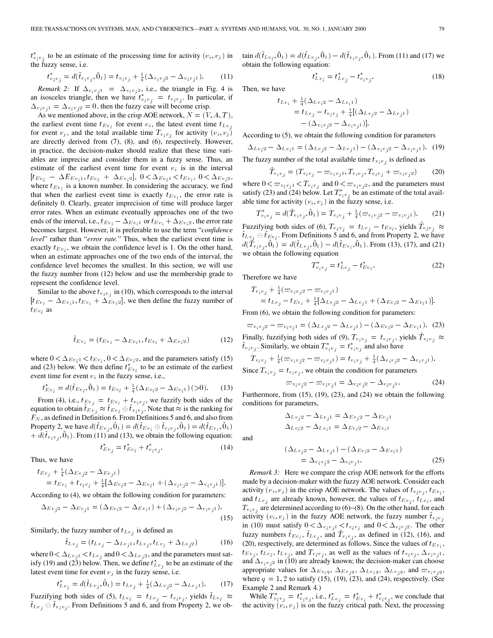$t_{v_i v_j}^*$  to be an estimate of the processing time for activity  $(v_i, v_j)$  in the fuzzy sense, i.e.

$$
t_{v_i v_j}^* = d(\tilde{t}_{v_i v_j}, \tilde{0}_1) = t_{v_i v_j} + \frac{1}{4} (\Delta_{v_i v_j 2} - \Delta_{v_i v_j 1}).
$$
 (11)

*Remark 2:* If  $\Delta_{v_i v_j 1} = \Delta_{v_i v_j 2}$ , i.e., the triangle in Fig. 4 is an isosceles triangle, then we have  $t_{v_i v_j}^* = t_{v_i v_j}$ . In particular, if  $\Delta_{v_i v_i 1} = \Delta_{v_i v_i 2} = 0$ , then the fuzzy case will become crisp.

As we mentioned above, in the crisp AOE network,  $N = (V, A, T)$ , the earliest event time  $t_{Ev_i}$  for event  $v_i$ , the latest event time  $t_{Lv_i}$ for event  $v_j$ , and the total available time  $T_{v_i v_j}$  for activity  $(v_i, v_j)$ are directly derived from (7), (8), and (6), respectively. However, in practice, the decision-maker should realize that these time variables are imprecise and consider them in a fuzzy sense. Thus, an estimate of the earliest event time for event  $v_i$  is in the interval  $[t_{Ev_i} - \Delta E_{Ev_i1}, t_{Ev_i} + \Delta E_{v_i2}], 0 < \Delta E_{v_i1} < t_{Ev_i}, 0 < \Delta E_{v_i2},$ where  $t_{Ev_i}$  is a known number. In considering the accuracy, we find that when the earliest event time is exactly  $t_{Ev_i}$ , the error rate is definitely 0. Clearly, greater imprecision of time will produce larger error rates. When an estimate eventually approaches one of the two ends of the interval, i.e.,  $t_{Ev_i} - \Delta_{Ev_i}$  or  $t_{Ev_i} + \Delta_{Ev_i}$ , the error rate becomes largest. However, it is preferable to use the term "*confidence level*" rather than "*error rate.*" Thus, when the earliest event time is exactly  $t_{Ev_i}$ , we obtain the confidence level is 1. On the other hand, when an estimate approaches one of the two ends of the interval, the confidence level becomes the smallest. In this section, we will use the fuzzy number from (12) below and use the membership grade to represent the confidence level.

Similar to the above  $t_{v_i v_j}$  in (10), which corresponds to the interval  $[t_{Ev_i} - \Delta_{Ev_i}, t_{Ev_i} + \Delta_{Ev_i}$ , we then define the fuzzy number of  $t_{Ev_i}$  as

$$
\tilde{t}_{Ev_i} = (t_{Ev_i} - \Delta_{Ev_i1}, t_{Ev_i} + \Delta_{Ev_i2})
$$
\n(12)

where  $0 < \Delta_{Ev_i 1} < t_{Ev_i}$ ,  $0 < \Delta_{Ev_i 2}$ , and the parameters satisfy (15) and (23) below. We then define  $t_{Ev_i}^{*S_{ev_i}}$  to be an estimate of the earliest event time for event  $v_i$  in the fuzzy sense, i.e.,

$$
t_{Ev_i}^* = d(\tilde{t}_{Ev_i}, \tilde{0}_1) = t_{Ev_i} + \frac{1}{4} (\Delta_{Ev_i 2} - \Delta_{Ev_i 1}) \, (>0). \tag{13}
$$

From (4), i.e.,  $t_{Ev_j} = t_{Ev_i} + t_{v_i v_j}$ , we fuzzify both sides of the equation to obtain  $t_{Ev_i} \approx t_{Ev_i} \oplus t_{v_i v_i}$ . Note that  $\approx$  is the ranking for  $F_N$ , as defined in Definition 6. From Definitions 5 and 6, and also from Property 2, we have  $d(t_{Ev_i}, 0_1) = d(t_{Ev_i} \oplus t_{v_i v_i}, 0_1) = d(t_{Ev_i}, 0_1)$  $+ d(t_{v_i v_j}, 0_1)$ . From (11) and (13), we obtain the following equation:

$$
t_{Ev_j}^* = t_{Ev_j}^* + t_{v_i v_j}^*.
$$
 (14)

Thus, we have

$$
t_{Ev_j} + \frac{1}{4}(\Delta_{Ev_j 2} - \Delta_{Ev_j 1})
$$
  
=  $t_{Ev_i} + t_{v_i v_j} + \frac{1}{4}[\Delta_{Ev_i 2} - \Delta_{Ev_i 1} + (\Delta_{v_i v_j 2} - \Delta_{v_i v_j 1})].$ 

According to (4), we obtain the following condition for parameters:

$$
\Delta_{Ev_j 2} - \Delta_{Ev_j 1} = (\Delta_{Ev_i 2} - \Delta_{Ev_i 1}) + (\Delta_{v_i v_j 2} - \Delta_{v_i v_j 1}).
$$
\n(15)

Similarly, the fuzzy number of  $t_{Lv_j}$  is defined as

$$
\tilde{t}_{Lv_j} = (t_{Lv_j} - \Delta_{Lv_j1}, t_{Lv_j}, t_{Lv_j} + \Delta_{Lv_j2})
$$
(16)

where  $0 < \Delta_{Lv_j 1} < t_{Lv_j}$  and  $0 < \Delta_{Lv_j 2}$ , and the parameters must satisfy (19) and (23) below. Then, we define  $t_{Lv_i}^*$  to be an estimate of the latest event time for event  $v_j$  in the fuzzy sense, i.e.

$$
t_{Lv_j}^* = d(\tilde{t}_{Lv_j}, \tilde{0}_1) = t_{Lv_j} + \frac{1}{4}(\Delta_{Lv_j2} - \Delta_{Lv_j1}).
$$
 (17)

Fuzzifying both sides of (5),  $t_{Lv_i} = t_{Lv_i} - t_{v_i v_i}$ , yields  $t_{Lv_i} \approx$  $t_{Lv_i} \oplus t_{v_i v_j}$ . From Definitions 5 and 6, and from Property 2, we obtain  $d(\tilde{t}_{Lv_i}, \tilde{0}_1) = d(\tilde{t}_{Lv_j}, \tilde{0}_1) - d(\tilde{t}_{v_i v_j}, \tilde{0}_1)$ . From (11) and (17) we obtain the following equation:

$$
t_{Lv_i}^* = t_{Lv_j}^* - t_{v_i v_j}^*.
$$
 (18)

Then, we have

 $t_{Lv}$ 

$$
i + \frac{1}{4}(\Delta_{Lv_i 2} - \Delta_{Lv_i 1})
$$
  
=  $t_{Lv_j} - t_{v_i v_j} + \frac{1}{4}[(\Delta_{Lv_j 2} - \Delta_{Lv_j 1})$   
-  $(\Delta_{v_i v_j 2} - \Delta_{v_i v_j 1})].$ 

According to (5), we obtain the following condition for parameters

$$
\Delta_{Lv_12} - \Delta_{Lv_11} = (\Delta_{Lv_22} - \Delta_{Lv_11}) - (\Delta_{v_1v_22} - \Delta_{v_1v_21}).
$$
 (19)  
the fuzzy number of the total available time t is defined as

The fuzzy number of the total available time  $t_{v_i v_j}$  is defined as

$$
\tilde{T}_{v_i v_j} = (T_{v_i v_j} - \varpi_{v_i v_j 1}, T_{v_i v_j}, T_{v_i v_j} + \varpi_{v_i v_j 2})
$$
(20)

where  $0 < \varpi_{v_i v_j 1} < T_{v_i v_j}$  and  $0 < \varpi_{v_i v_j 2}$ , and the parameters must satisfy (23) and (24) below. Let  $T^*_{v_i v_j}$  be an estimate of the total available time for activity  $(v_i, v_j)$  in the fuzzy sense, i.e.

$$
T_{v_i v_j}^* = d(\tilde{T}_{v_i v_j}, \tilde{0}_1) = T_{v_i v_j} + \frac{1}{4} (\varpi_{v_i v_j 2} - \varpi_{v_i v_j 1}). \tag{21}
$$

Fuzzifying both sides of (6),  $T_{v_i v_j} = t_{Lv_j} - t_{Ev_i}$ , yields  $T_{v_i v_j} \approx$  $t_{Lv_i} \oplus t_{Ev_i}$ . From Definitions 5 and 6, and from Property 2, we have  $d(\tilde{T}_{v_i v_j}, \tilde{0}_1) = d(\tilde{t}_{Lv_j}, \tilde{0}_1) - d(\tilde{t}_{Ev_i}, \tilde{0}_1)$ . From (13), (17), and (21) we obtain the following equation

$$
T_{v_i v_j}^* = t_{Lv_j}^* - t_{Ev_i}^*.
$$
 (22)

Therefore we have

and

$$
T_{v_i v_j} + \frac{1}{4} (\varpi_{v_i v_j 2} - \varpi_{v_i v_j 1})
$$
  
=  $t_{L v_j} - t_{E v_i} + \frac{1}{4} [\Delta_{L v_j 2} - \Delta_{L v_j 1} + (\Delta_{E v_i 2} - \Delta_{E v_i 1})].$ 

From  $(6)$ , we obtain the following condition for parameters:

$$
\varpi_{v_iv_j2} - \varpi_{v_iv_j1} = (\Delta_{Lv_j2} - \Delta_{Lv_j1}) - (\Delta_{Ev_i2} - \Delta_{Ev_i1}).
$$
 (23)

Finally, fuzzifying both sides of (9),  $T_{v_i v_j} = t_{v_i v_j}$ , yields  $\tilde{T}_{v_i v_j} \approx$  $\tilde{t}_{v_i v_j}$ . Similarly, we obtain  $T_{v_i v_j}^* = t_{v_i v_j}^*$  and also have

$$
T_{v_iv_j} + \frac{1}{4}(\varpi_{v_iv_j2} - \varpi_{v_iv_j1}) = t_{v_iv_j} + \frac{1}{4}(\Delta_{v_iv_j2} - \Delta_{v_iv_j1}).
$$
  
Since  $T_{v_iv_j} = t_{v_iv_j}$ , we obtain the condition for parameters

$$
\varpi_{v_i v_j 2} - \varpi_{v_i v_j 1} = \Delta_{v_i v_j 2} - \Delta_{v_i v_j 1}.
$$
 (24)

Furthermore, from (15), (19), (23), and (24) we obtain the following conditions for parameters,

$$
\Delta_{Lv_j2} - \Delta_{Lv_j1} = \Delta_{Ev_j2} - \Delta_{Ev_j1}
$$

$$
\Delta_{Lv_i2} - \Delta_{Lv_i1} = \Delta_{Ev_i2} - \Delta_{Ev_i1}
$$

$$
\begin{aligned} \left(\Delta_{Lv_j2} - \Delta_{Lv_j1}\right) - \left(\Delta_{Ev_i2} - \Delta_{Ev_i1}\right) \\ &= \Delta_{v_iv_j2} - \Delta_{v_iv_j1}.\end{aligned} \tag{25}
$$

*Remark 3:* Here we compare the crisp AOE network for the efforts made by a decision-maker with the fuzzy AOE network. Consider each activity  $(v_i, v_j)$  in the crisp AOE network. The values of  $t_{v_i v_j}, t_{Ev_j}$ , and  $t_{Lv_i}$  are already known, however, the values of  $t_{Ev_i}$ ,  $t_{Lv_i}$ , and  $T_{v_i v_j}$  are determined according to (6)–(8). On the other hand, for each activity  $(v_i, v_j)$  in the fuzzy AOE network, the fuzzy number  $t_{v_i v_j}$ in (10) must satisfy  $0 < \Delta_{v_i v_j 1} < t_{v_i v_j}$  and  $0 < \Delta_{v_i v_j 2}$ . The other fuzzy numbers  $\tilde{t}_{Ev_i}$ ,  $\tilde{t}_{Lv_j}$ , and  $\tilde{T}_{v_i v_j}$ , as defined in (12), (16), and (20), respectively, are determined as follows. Since the values of  $t_{Ev_i}$ ,  $t_{Ev_j}$ ,  $t_{Lv_i}$ ,  $t_{Lv_j}$ , and  $T_{v_i v_j}$ , as well as the values of  $t_{v_i v_j}$ ,  $\Delta_{v_i v_j 1}$ , and  $\Delta_{v_i v_j 2}$  in (10) are already known; the decision-maker can choose appropriate values for  $\Delta_{Ev_iq}$ ,  $\Delta_{Ev_iq}$ ,  $\Delta_{Lv_iq}$ ,  $\Delta_{Lv_jq}$ , and  $\varpi_{v_i v_jq}$ , where  $q = 1, 2$  to satisfy (15), (19), (23), and (24), respectively. (See Example 2 and Remark 4.)

While  $T_{v_i v_j}^* = t_{v_i v_j}^*$ , i.e.,  $t_{Lv_j}^* = t_{Ev_j}^* + t_{v_i v_j}^*$ , we conclude that the activity  $(v_i, v_j)$  is on the fuzzy critical path. Next, the processing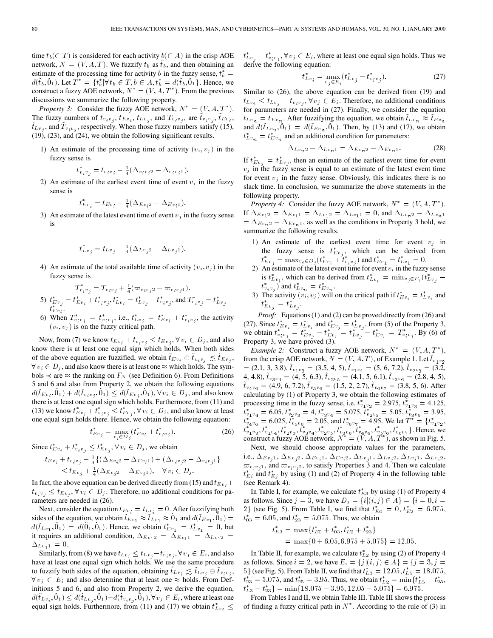time  $t_b(\in T)$  is considered for each activity  $b(\in A)$  in the crisp AOE network,  $N = (V, A, T)$ . We fuzzify  $t_b$  as  $\tilde{t}_b$ , and then obtaining an estimate of the processing time for activity b in the fuzzy sense,  $t_b^* =$  $d(\tilde{t}_b, \tilde{0}_1)$ . Let  $T^* = \{t_b^* | \forall t_b \in T, b \in A, t_b^* = d(\tilde{t}_b, \tilde{0}_1\}$ . Hence, we construct a fuzzy AOE network,  $N^* = (V, A, T^*)$ . From the previous discussions we summarize the following property.

*Property 3:* Consider the fuzzy AOE network,  $N^* = (V, A, T^*)$ . The fuzzy numbers of  $t_{v_i v_j}$ ,  $t_{Ev_i}$ ,  $t_{Lv_j}$ , and  $T_{v_i v_j}$ , are  $\bar{t}_{v_i v_j}$ ,  $\bar{t}_{Ev_i}$ ,  $t_{Lv_i}$ , and  $T_{v_i v_j}$ , respectively. When those fuzzy numbers satisfy (15), (19), (23), and (24), we obtain the following significant results.

1) An estimate of the processing time of activity  $(v_i, v_j)$  in the fuzzy sense is

$$
t_{v_i v_j}^* = t_{v_i v_j} + \frac{1}{4} (\Delta_{v_i v_j 2} - \Delta_{v_i v_j 1}).
$$

2) An estimate of the earliest event time of event  $v_i$  in the fuzzy sense is

$$
t_{Ev_i}^* = t_{Ev_i} + \frac{1}{4}(\Delta_{Ev_i 2} - \Delta_{Ev_i 1}).
$$

3) An estimate of the latest event time of event  $v_i$  in the fuzzy sense is

$$
t_{Lv_j}^* = t_{Lv_j} + \frac{1}{4}(\Delta_{Lv_j2} - \Delta_{Lv_j1}).
$$

4) An estimate of the total available time of activity  $(v_i, v_j)$  in the fuzzy sense is

$$
T_{v_i v_j}^* = T_{v_i v_j} + \frac{1}{4}(\varpi_{v_i v_j 2} - \varpi_{v_i v_j 1}).
$$
  
5)  $t_{Ev_j}^* = t_{Ev_i}^* + t_{v_i v_j}^*, t_{Lv_i}^* = t_{Lv_j}^* - t_{v_i v_j}^*,$  and  $T_{v_i v_j}^* = t_{Lv_j}^* - t_{Ev_i}^*.$ 

6) When  $T_{v_i v_j}^* = t_{v_i v_j}^*$ , i.e.,  $t_{L v_j}^* = t_{E v_i}^* + t_{v_i v_j}^*$ , the activity  $(v_i, v_j)$  is on the fuzzy critical path.

Now, from (7) we know  $t_{Ev_i} + t_{v_i v_j} \leq t_{Ev_j}$ ,  $\forall v_i \in D_j$ , and also know there is at least one equal sign which holds. When both sides of the above equation are fuzzified, we obtain  $\tilde{t}_{Ev_i} \oplus \tilde{t}_{v_i v_j} \lesssim \tilde{t}_{Ev_j}$ ,  $\forall v_i \in D_j$ , and also know there is at least one  $\approx$  which holds. The symbols  $\prec$  are  $\approx$  the ranking on  $F_N$  (see Definition 6). From Definitions 5 and 6 and also from Property 2, we obtain the following equations  $d(\tilde{t}_{Ev_i}, \tilde{0}_1) + d(\tilde{t}_{v_i v_j}, \tilde{0}_1) \leq d(\tilde{t}_{Ev_j}, \tilde{0}_1), \forall v_i \in D_j$ , and also know there is at least one equal sign which holds. Furthermore, from (11) and (13) we know  $t_{Ev_i}^* + t_{v_iv_j}^* \leq t_{Ev_i}^*$ ,  $\forall v_i \in D_j$ , and also know at least one equal sign holds there. Hence, we obtain the following equation:

$$
t_{Ev_j}^* = \max_{v_i \in D_j} (t_{Ev_i}^* + t_{v_iv_j}^*).
$$
 (26)

Since  $t_{Ev_i}^* + t_{v_iv_j}^* \leq t_{Ev_j}^*$ ,  $\forall v_i \in D_j$ , we obtain

$$
t_{Ev_i} + t_{v_iv_j} + \frac{1}{4} \{ (\Delta_{Ev_i 2} - \Delta_{Ev_i 1}) + (\Delta_{v_iv_j 2} - \Delta_{v_iv_j 1}) \}\leq t_{Ev_j} + \frac{1}{4} (\Delta_{Ev_j 2} - \Delta_{Ev_j 1}), \quad \forall v_i \in D_j.
$$

In fact, the above equation can be derived directly from (15) and  $t_{Ev_i}$  +  $t_{v_i v_j} \leq t_{Ev_j}, \forall v_i \in D_j$ . Therefore, no additional conditions for parameters are needed in (26).

Next, consider the equation  $t_{Ev_i} = t_{Lv_i} = 0$ . After fuzzifying both sides of the equation, we obtain  $t_{Ev_1} \approx t_{Lv_1} \approx 0_1$  and  $d(t_{Ev_1}, 0_1) =$  $d(\tilde{t}_{Lv_1}, \tilde{0}_1) = d(\tilde{0}_1, \tilde{0}_1)$ . Hence, we obtain  $t_{Ev_1}^* = t_{Lv_1}^* = 0$ , but it requires an additional condition,  $\Delta_{Ev_12} = \Delta_{Ev_11} = \Delta_{Lv_12}$  $\Delta_{Lv_11} = 0.$ 

Similarly, from (8) we have  $t_{Lv_i} \le t_{Lv_j} - t_{v_i v_j}$ ,  $\forall v_j \in E_i$ , and also have at least one equal sign which holds. We use the same procedure to fuzzify both sides of the equation, obtaining  $t_{Lv_i} \lesssim t_{Lv_i} \oplus t_{v_i v_i}$ ,  $\forall v_j \in E_i$  and also determine that at least one  $\approx$  holds. From Definitions 5 and 6, and also from Property 2, we derive the equation,  $d(\tilde{t}_{Lv_i}, \tilde{0}_1) \leq d(\tilde{t}_{Lv_j}, \tilde{0}_1) - d(\tilde{t}_{v_i v_j}, \tilde{0}_1), \forall v_j \in E_i$ , where at least one equal sign holds. Furthermore, from (11) and (17) we obtain  $t_{Lv_i}^* \leq$ 

 $t_{Lv_i}^* - t_{v_i v_i}^*$ ,  $\forall v_j \in E_i$ , where at least one equal sign holds. Thus we derive the following equation:

$$
t_{Lv_i}^* = \max_{v_j \in E_i} (t_{Lv_j}^* - t_{v_i v_j}^*).
$$
 (27)

Similar to (26), the above equation can be derived from (19) and  $t_{Lv_i} \leq t_{Lv_j} - t_{v_i v_j}, \forall v_j \in E_i$ . Therefore, no additional conditions for parameters are needed in (27). Finally, we consider the equation  $t_{Lv_n} = t_{Ev_n}$ . After fuzzifying the equation, we obtain  $\tilde{t}_{Lv_n} \approx \tilde{t}_{Ev_n}$ and  $d(\tilde{t}_{Lv_n}, \tilde{0}_1) = d(\tilde{t}_{Ev_n}, \tilde{0}_1)$ . Then, by (13) and (17), we obtain  $t_{Lv_n}^* = t_{Ev_n}^*$  and an additional condition for parameters:

$$
\Delta_{Lv_n2} - \Delta_{Lv_n1} = \Delta_{Ev_n2} - \Delta_{Ev_n1}.
$$
\n(28)

If  $t_{Ev_j}^* = t_{Lv_j}^*$ , then an estimate of the earliest event time for event  $v_j$  in the fuzzy sense is equal to an estimate of the latest event time for event  $v_i$  in the fuzzy sense. Obviously, this indicates there is no slack time. In conclusion, we summarize the above statements in the following property.

*Property 4:* Consider the fuzzy AOE network,  $N^* = (V, A, T^*)$ . If  $\Delta_{Ev_1 2} = \Delta_{Ev_1 1} = \Delta_{Lv_1 2} = \Delta_{Lv_1 1} = 0$ , and  $\Delta_{Lv_n 2} - \Delta_{Lv_n 1}$  $= \Delta_{Ev_n 2} - \Delta_{Ev_n 1}$ , as well as the conditions in Property 3 hold, we summarize the following results.

- 1) An estimate of the earliest event time for event  $v_j$  in the fuzzy sense is  $t_{Ev_i}^*$ , which can be derived from  $t_{Ev_j}^* = \max_{v_i \in D_j} (t_{Ev_i}^* + t_{v_iv_j}^*)$  and  $t_{Ev_1}^* = t_{Lv_1}^* = 0$ .
- 2) An estimate of the latest event time for event  $v_i$  in the fuzzy sense is  $t_{Lv_i}^*$ , which can be derived from  $t_{Lv_i}^* = \min_{v_i \in E_i} (t_{Lv_i}^*$  $t_{v_i v_j}^*$  and  $t_{Lv_n}^* = t_{Ev_n}^*$ .
- 3) The activity  $(v_i, v_j)$  will on the critical path if  $t_{Ev_i}^* = t_{Lv_i}^*$  and  $t_{Ev_j}^* = t_{Lv_j}^*.$

*Proof:* Equations (1) and (2) can be proved directly from (26) and (27). Since  $t_{Ev_i}^* = t_{Lv_i}^*$  and  $t_{Ev_i}^* = t_{Lv_i}^*$ , from (5) of the Property 3, we obtain  $t_{v_i v_j}^* = t_{Ev_j}^* - t_{Ev_j}^* = t_{Lv_j}^* - t_{Ev_j}^* - t_{Ev_j}^* = T_{v_i v_j}^*$ . By (6) of Property 3, we have proved (3).

*Example 2:* Construct a fuzzy AOE network,  $N^* = (V, A, T^*)$ , from the crisp AOE network,  $N = (V, A, T)$ , of Example 1. Let  $\tilde{t}_{v_1 v_2}$  $=(2.1, 3, 3.8), \tilde{t}_{v_1v_3} = (3.5, 4, 5), \tilde{t}_{v_1v_4} = (5, 6, 7.2), \tilde{t}_{v_2v_3} = (3.2,$ 4, 4.8),  $\tilde{t}_{v_3v_4} = (4, 5, 6.3), \tilde{t}_{v_2v_5} = (4.1, 5, 6.1), \tilde{t}_{v_3v_6} = (2.8, 4, 5),$  $\tilde{t}_{v_4v_6} = (4.9, 6, 7.2), \tilde{t}_{v_5v_6} = (1.5, 2, 2.7), \tilde{t}_{v_6v_7} = (3.8, 5, 6).$  After calculating by (1) of Property 3, we obtain the following estimates of processing time in the fuzzy sense, i.e.  $t_{v_1v_2}^* = 2.975$ ,  $t_{v_1v_3}^* = 4.125$ ,  $\overline{t}_{v_1v_4}^* = 6.05, t_{v_2v_3}^* = 4, t_{v_3v_4}^* = 5.075, \overline{t}_{v_2v_5}^* = 5.05, \overline{t}_{v_3v_6}^* = 3.95,$  $t_{v_4v_6}^* = 6.025$ ,  $t_{v_5v_6}^* = 2.05$ , and  $t_{v_6v_7}^* = 4.95$ . We let  $T^* = \{t_{v_1v_2}^*,$  $t_{v_1v_3}^*, t_{v_1v_4}^*, t_{v_2v_3}^*, t_{v_3v_4}^*, t_{v_2v_5}^*, t_{v_3v_6}^*, t_{v_4v_6}^*, t_{v_5v_6}^*, t_{v_6v_7}^*\}.$  Hence, we construct a fuzzy AOE network,  $N^* = (V, A, T^*)$ , as shown in Fig. 5.

Next, we should choose appropriate values for the parameters, i.e.,  $\Delta_{Ev_1}$ ,  $\Delta_{Ev_2}$ ,  $\Delta_{Ev_1}$ ,  $\Delta_{Ev_2}$ ,  $\Delta_{Lv_1}$ ,  $\Delta_{Lv_2}$ ,  $\Delta_{Lv_1}$ ,  $\Delta_{Lv_2}$ ,  $\varpi_{v_i v_j 1}$ , and  $\varpi_{v_i v_j 2}$ , to satisfy Properties 3 and 4. Then we calculate  $t_{E_i}^*$  and  $t_{E_j}^*$  by using (1) and (2) of Property 4 in the following table (see Remark 4).

In Table I, for example, we calculate  $t_{E3}^*$  by using (1) of Property 4 as follows. Since  $j = 3$ , we have  $D_j = \{i | (i, j) \in A\} = \{i = 0, i = 1\}$ 2} (see Fig. 5). From Table I, we find that  $t_{E0}^* = 0, t_{E2}^* = 6.975$ ,  $t_{03}^* = 6.05$ , and  $t_{23}^* = 5.075$ . Thus, we obtain

$$
t_{E3}^* = \max\{t_{E0}^* + t_{03}^*, t_{E2}^* + t_{23}^*\}
$$
  
= 
$$
\max\{0 + 6.05, 6.975 + 5.075\} = 12.05.
$$

In Table II, for example, we calculate  $t_{L2}^*$  by using (2) of Property 4 as follows. Since  $i = 2$ , we have  $E_i = \{j | (i, j) \in A\} = \{j = 3, j = 1\}$ 5 { (see Fig. 5). From Table II, we find that  $t_{L3}^* = 12.05, t_{L5}^* = 18.075$ ,  $t_{23}^* = 5.075$ , and  $t_{25}^* = 3.95$ . Thus, we obtain  $t_{L2}^* = \min\{t_{L5}^* - t_{25}^*,$  $t_{L3}^* - t_{23}^* = \min\{18.075 - 3.95, 12.05 - 5.075\} = 6.975.$ 

From Tables I and II, we obtain Table III. Table III shows the process of finding a fuzzy critical path in  $N^*$ . According to the rule of (3) in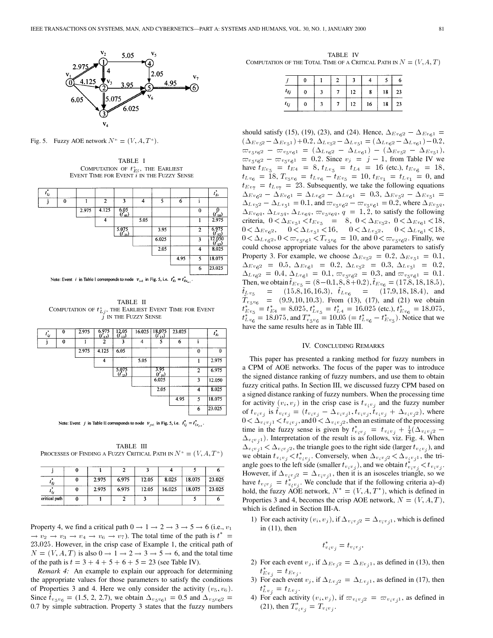

Fig. 5. Fuzzy AOE network  $N^* = (V, A, T^*)$ .

TABLE I COMPUTATION OF  $t_{Ei}^*$ , the EARLIEST EVENT TIME FOR EVENT  $i$  IN THE FUZZY SENSE

| ٠<br>$t_{ij}$ |   |       |                |                             |      |       |      |              | $t_{E}$              |
|---------------|---|-------|----------------|-----------------------------|------|-------|------|--------------|----------------------|
|               | 0 |       | $\overline{2}$ | 3                           | 4    | 5     | 6    | î            |                      |
|               |   | 2.975 | 4.125          | 6.05<br>$\binom{t_{03}}{s}$ |      |       |      | $\bf{0}$     | $(t_{E0})$           |
|               |   |       | 4              |                             | 5.05 |       |      | 1            | 2.975                |
|               |   |       |                | 5.075<br>$I_{23}$           |      | 3.95  |      | $\mathbf{2}$ | 6.975<br>E2J         |
|               |   |       |                |                             |      | 6.025 |      | 3            | 12.050<br>$(t_{E3})$ |
|               |   |       |                |                             |      | 2.05  |      | 4            | 8.025                |
|               |   |       |                |                             |      |       | 4.95 | 5            | 18.075               |
|               |   |       |                |                             |      |       |      | 6            | 23,025               |

Note: Event *i* in Table I corresponds to node  $v_{i+1}$  in Fig. 5, i.e.  $t_{E_i}^* = t_{Ev_{i+1}}^*$ .

TABLE II COMPUTATION OF  $t_{Lj}^*$ , the EARLIEST EVENT TIME FOR EVENT  $i$  IN THE FUZZY SENSE

| 2<br>5<br>3<br>0<br>6<br>4<br>$\mathbf{I}$<br>2.975<br>4.125<br>6.05<br>$\bf{0}$<br>5.05<br>4<br>3.95<br>5.075<br>$\overline{2}$<br>$(r_{25})$<br>$\binom{f_{23}}{23}$<br>6.025<br>3<br>2.05<br>4<br>4.95<br>5 | $t_{ij}$ | 0 | 2.975 | 6.975<br>$(t_{12})$ | $\frac{12.05}{(t_{13})}$ | 16.025 | $\frac{18.075}{(t_{\rm L})}$ | 23.025 | ٠<br>$t_{\scriptscriptstyle E}$ |
|----------------------------------------------------------------------------------------------------------------------------------------------------------------------------------------------------------------|----------|---|-------|---------------------|--------------------------|--------|------------------------------|--------|---------------------------------|
|                                                                                                                                                                                                                |          |   |       |                     |                          |        |                              |        |                                 |
|                                                                                                                                                                                                                |          |   |       |                     |                          |        |                              |        | $\bf{0}$                        |
|                                                                                                                                                                                                                |          |   |       |                     |                          |        |                              |        | 2.975                           |
|                                                                                                                                                                                                                |          |   |       |                     |                          |        |                              |        | 6.975                           |
|                                                                                                                                                                                                                |          |   |       |                     |                          |        |                              |        | 12.050                          |
|                                                                                                                                                                                                                |          |   |       |                     |                          |        |                              |        | 8.025                           |
|                                                                                                                                                                                                                |          |   |       |                     |                          |        |                              |        | 18.075                          |
| 6                                                                                                                                                                                                              |          |   |       |                     |                          |        |                              |        | 23.025                          |

Note: Event *j* in Table II corresponds to node  $v_{j+1}$  in Fig. 5, i.e.  $t_{Lj}^* = t_{Lv_{j+1}}^*$ .

TABLE III PROCESSES OF FINDING A FUZZY CRITICAL PATH IN  $N^* = (V, A, T^*)$ 

| ' Ei          | 2.975 | 6.975 | 12.05 | 8.025  | 18.075 | 23.025 |
|---------------|-------|-------|-------|--------|--------|--------|
| $\iota_{L}$   | 2.975 | 6.975 | 12.05 | 16.025 | 18.075 | 23.025 |
| critical path |       |       |       |        |        |        |

Property 4, we find a critical path  $0 \rightarrow 1 \rightarrow 2 \rightarrow 3 \rightarrow 5 \rightarrow 6$  (i.e.,  $v_1$ )  $\rightarrow v_2 \rightarrow v_3 \rightarrow v_4 \rightarrow v_6 \rightarrow v_7$ ). The total time of the path is  $t^* =$ 23:025. However, in the crisp case of Example 1, the critical path of  $N = (V, A, T)$  is also  $0 \rightarrow 1 \rightarrow 2 \rightarrow 3 \rightarrow 5 \rightarrow 6$ , and the total time of the path is  $t = 3 + 4 + 5 + 6 + 5 = 23$  (see Table IV).

*Remark 4:* An example to explain our approach for determining the appropriate values for those parameters to satisfy the conditions of Properties 3 and 4. Here we only consider the activity  $(v_5, v_6)$ . Since  $t_{v_5v_6} = (1.5, 2, 2.7)$ , we obtain  $\Delta_{v_5v_6} = 0.5$  and  $\Delta_{v_5v_6} =$ 0.7 by simple subtraction. Property 3 states that the fuzzy numbers

TABLE IV COMPUTATION OF THE TOTAL TIME OF A CRITICAL PATH IN  $N = (V, A, T)$ 

| $t_{Ej}$ | 0 |  | 12 | 8  | 18 | 23 |
|----------|---|--|----|----|----|----|
| $t_{Lj}$ | 0 |  | 12 | 16 | 18 | 23 |

should satisfy (15), (19), (23), and (24). Hence,  $\Delta_{Ev_62} - \Delta_{Ev_61} =$  $(\Delta_{Ev_52} - \Delta_{Ev_51}) + 0.2, \Delta_{Lv_52} - \Delta_{Lv_51} = (\Delta_{Lv_62} - \Delta_{Lv_61}) - 0.2,$  $\varpi_{v_5v_62} - \varpi_{v_5v_61} = (\Delta_{Lv_62} - \Delta_{Lv_61}) - (\Delta_{Ev_52} - \Delta_{Ev_51}),$  $\varpi_{v_5 v_6 2} - \varpi_{v_5 v_6 1} = 0.2$ . Since  $v_j = j - 1$ , from Table IV we have  $t_{Ev_5} = t_{E4} = 8$ ,  $t_{Lv_5} = t_{L4} = 16$  (etc.),  $t_{Ev_6} = 18$ ,  $t_{Lv_6}$  = 18,  $T_{v_5v_6}$  =  $t_{Lv_6}$  -  $t_{Ev_5}$  = 10,  $t_{Ev_1}$  =  $t_{Lv_1}$  = 0, and  $t_{Ev_7} = t_{Lv_7} = 23$ . Subsequently, we take the following equations  $\Delta_{Ev_62} - \Delta_{Ev_61} = \Delta_{Lv_62} - \Delta_{Lv_61} = 0.3, \Delta_{Ev_52} - \Delta_{Ev_51} =$  $\Delta_{L v_5 2} = \Delta_{L v_5 1} = 0.1$ , and  $\omega_{v_5 v_6 2} = \omega_{v_5 v_6 1} = 0.2$ , where  $\Delta_{E v_5 q}$ ,  $\Delta_{Ev_{6}q}, \Delta_{Lv_{5}q}, \Delta_{Lv_{6}q}, \varpi_{v_{5}v_{6}q}, q = 1, 2$ , to satisfy the following criteria,  $0 < \Delta_{Ev_5}$ 1  $< t_{Ev_5}$  = 8,  $0 < \Delta_{Ev_5}$ 2,  $0 < \Delta_{Ev_6}$ 1  $< 18$ ,  $0 < \Delta_{Ev_6 2}$ ,  $0 < \Delta_{Lv_5 1} < 16$ ,  $0 < \Delta_{Lv_5 2}$ ,  $0 < \Delta_{Lv_6 1} < 18$ ,  $0 < \Delta_{Lv_{6}2}, 0 < \varpi_{v_{5}v_{6}1} < T_{v_{5}v_{6}} = 10$ , and  $0 < \varpi_{v_{5}v_{6}2}$ . Finally, we could choose appropriate values for the above parameters to satisfy Property 3. For example, we choose  $\Delta_{Ev_52} = 0.2, \Delta_{Ev_51} = 0.1$ ,  $\Delta_{Ev_62}$  = 0.5,  $\Delta_{Ev_61}$  = 0.2,  $\Delta_{Lv_52}$  = 0.3,  $\Delta_{Lv_51}$  = 0.2,  $\Delta_{Lv_62} = 0.4, \Delta_{Lv_61} = 0.1, \ \varpi_{v_5v_62} = 0.3, \text{ and } \varpi_{v_5v_61} = 0.1.$ Then, we obtain  $t_{Ev_5} = (8-0.1, 8, 8+0.2), t_{Ev_6} = (17.8, 18, 18.5),$  $\tilde{t}_{Lv_5}$  = (15.8, 16, 16.3),  $\tilde{t}_{Lv_6}$  = (17.9, 18, 18.4), and  $\bar{T}_{v_5v_6}$  = (9.9, 10, 10.3). From (13), (17), and (21) we obtain  $t_{Ev_5}^* = t_{E4}^* = 8.025, t_{Lv_5}^* = t_{L4}^* = 16.025$  (etc.),  $t_{Ev_6}^* = 18.075$ ,  $t_{Lv_6}^* = 18.075$ , and  $T_{v_5v_6}^* = 10.05$  (=  $t_{Lv_6}^* - t_{Ev_5}^*$ ). Notice that we have the same results here as in Table III.

## IV. CONCLUDING REMARKS

This paper has presented a ranking method for fuzzy numbers in a CPM of AOE networks. The focus of the paper was to introduce the signed distance ranking of fuzzy numbers, and use them to obtain fuzzy critical paths. In Section III, we discussed fuzzy CPM based on a signed distance ranking of fuzzy numbers. When the processing time for activity  $(v_i, v_j)$  in the crisp case is  $t_{v_i v_j}$  and the fuzzy number of  $t_{v_i v_j}$  is  $\bar{t}_{v_i v_j} = (t_{v_i v_j} - \Delta_{v_i v_j 1}, t_{v_i v_j}, \bar{t}_{v_i v_j} + \Delta_{v_i v_j 2})$ , where  $0 < \Delta_{v_i v_j 1} < t_{v_i v_j}$ , and  $0 < \Delta_{v_i v_j 2}$ , then an estimate of the processing time in the fuzzy sense is given by  $t_{v_i v_j}^* = t_{v_i v_j} + \frac{1}{4} (\Delta_{v_i v_j 2} \Delta_{v_i v_j 1}$ ). Interpretation of the result is as follows, viz. Fig. 4. When  $\Delta_{v_i v_j 1} < \Delta_{v_i v_j 2}$ , the triangle goes to the right side (larger  $t_{v_i v_j}$ ), and we obtain  $t_{v_i v_j} < t_{v_i v_j}^*$ . Conversely, when  $\Delta_{v_i v_j 2} < \Delta_{v_i v_j 1}$ , the triangle goes to the left side (smaller  $t_{v_i v_j}$ ), and we obtain  $t_{v_i v_j}^* < t_{v_i v_j}$ . However, if  $\Delta_{v_i v_j 2} = \Delta_{v_i v_j 1}$ , then it is an isosceles triangle, so we have  $t_{v_i v_j} = t_{v_i v_j}^{*}$ . We conclude that if the following criteria a)–d) hold, the fuzzy AOE network,  $N^* = (V, A, T^*)$ , which is defined in Properties 3 and 4, becomes the crisp AOE network,  $N = (V, A, T)$ , which is defined in Section III-A.

1) For each activity  $(v_i, v_j)$ , if  $\Delta_{v_i v_j 2} = \Delta_{v_i v_j 1}$ , which is defined in (11), then

$$
t_{v_i v_j}^* = t_{v_i v_j}.
$$

- 2) For each event  $v_j$ , if  $\Delta_{Ev_j2} = \Delta_{Ev_j1}$ , as defined in (13), then  $t_{Ev_j}^* = t_{Ev_j}.$
- 3) For each event  $v_j$ , if  $\Delta_{Lv_j2} = \Delta_{Lv_j1}$ , as defined in (17), then  $t_{Lv_j}^* = t_{Lv_j}.$
- 4) For each activity  $(v_i, v_j)$ , if  $\varpi_{v_i v_j 2} = \varpi_{v_i v_j 1}$ , as defined in (21), then  $T_{v_i v_j}^* = T_{v_i v_j}$ .